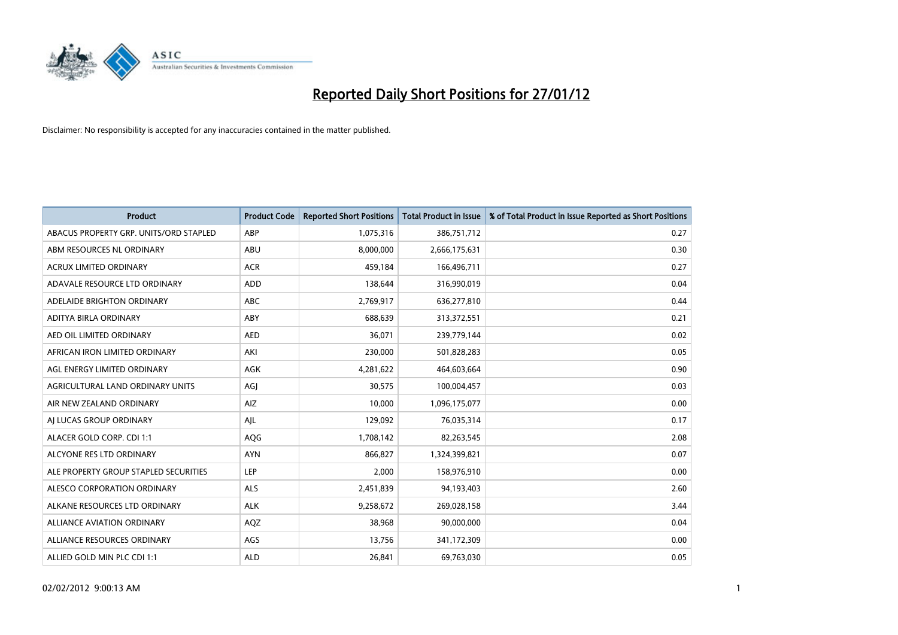

| <b>Product</b>                         | <b>Product Code</b> | <b>Reported Short Positions</b> | <b>Total Product in Issue</b> | % of Total Product in Issue Reported as Short Positions |
|----------------------------------------|---------------------|---------------------------------|-------------------------------|---------------------------------------------------------|
| ABACUS PROPERTY GRP. UNITS/ORD STAPLED | ABP                 | 1,075,316                       | 386,751,712                   | 0.27                                                    |
| ABM RESOURCES NL ORDINARY              | ABU                 | 8,000,000                       | 2,666,175,631                 | 0.30                                                    |
| <b>ACRUX LIMITED ORDINARY</b>          | <b>ACR</b>          | 459,184                         | 166,496,711                   | 0.27                                                    |
| ADAVALE RESOURCE LTD ORDINARY          | <b>ADD</b>          | 138,644                         | 316,990,019                   | 0.04                                                    |
| ADELAIDE BRIGHTON ORDINARY             | <b>ABC</b>          | 2,769,917                       | 636,277,810                   | 0.44                                                    |
| ADITYA BIRLA ORDINARY                  | ABY                 | 688,639                         | 313,372,551                   | 0.21                                                    |
| AED OIL LIMITED ORDINARY               | <b>AED</b>          | 36,071                          | 239,779,144                   | 0.02                                                    |
| AFRICAN IRON LIMITED ORDINARY          | AKI                 | 230,000                         | 501,828,283                   | 0.05                                                    |
| AGL ENERGY LIMITED ORDINARY            | AGK                 | 4,281,622                       | 464,603,664                   | 0.90                                                    |
| AGRICULTURAL LAND ORDINARY UNITS       | AGI                 | 30,575                          | 100,004,457                   | 0.03                                                    |
| AIR NEW ZEALAND ORDINARY               | AIZ                 | 10,000                          | 1,096,175,077                 | 0.00                                                    |
| AI LUCAS GROUP ORDINARY                | AJL                 | 129,092                         | 76,035,314                    | 0.17                                                    |
| ALACER GOLD CORP. CDI 1:1              | AQG                 | 1,708,142                       | 82,263,545                    | 2.08                                                    |
| ALCYONE RES LTD ORDINARY               | <b>AYN</b>          | 866,827                         | 1,324,399,821                 | 0.07                                                    |
| ALE PROPERTY GROUP STAPLED SECURITIES  | <b>LEP</b>          | 2,000                           | 158,976,910                   | 0.00                                                    |
| ALESCO CORPORATION ORDINARY            | ALS                 | 2,451,839                       | 94,193,403                    | 2.60                                                    |
| ALKANE RESOURCES LTD ORDINARY          | <b>ALK</b>          | 9,258,672                       | 269,028,158                   | 3.44                                                    |
| <b>ALLIANCE AVIATION ORDINARY</b>      | AQZ                 | 38,968                          | 90,000,000                    | 0.04                                                    |
| ALLIANCE RESOURCES ORDINARY            | AGS                 | 13,756                          | 341,172,309                   | 0.00                                                    |
| ALLIED GOLD MIN PLC CDI 1:1            | <b>ALD</b>          | 26,841                          | 69,763,030                    | 0.05                                                    |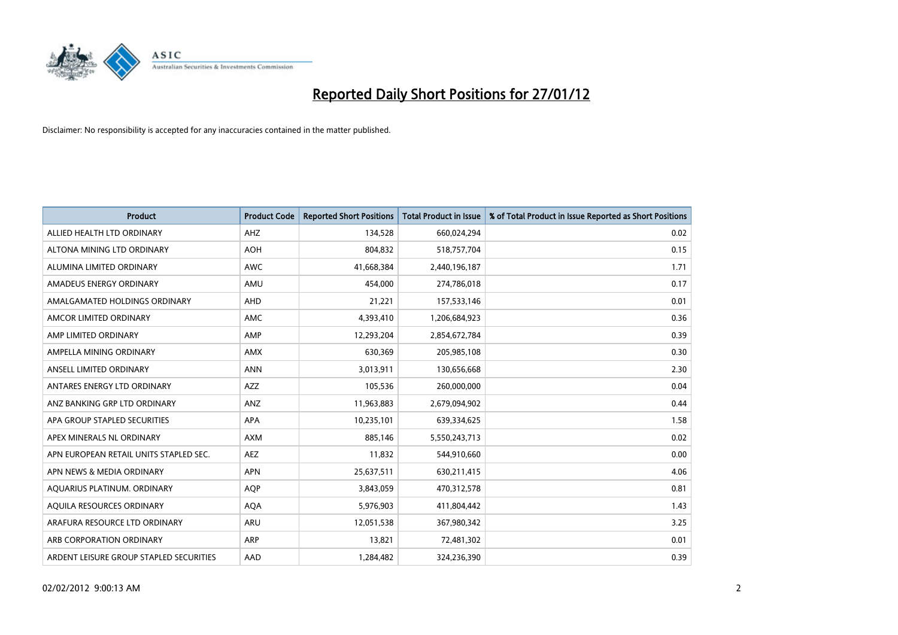

| <b>Product</b>                          | <b>Product Code</b> | <b>Reported Short Positions</b> | Total Product in Issue | % of Total Product in Issue Reported as Short Positions |
|-----------------------------------------|---------------------|---------------------------------|------------------------|---------------------------------------------------------|
| ALLIED HEALTH LTD ORDINARY              | AHZ                 | 134,528                         | 660,024,294            | 0.02                                                    |
| ALTONA MINING LTD ORDINARY              | <b>AOH</b>          | 804,832                         | 518,757,704            | 0.15                                                    |
| ALUMINA LIMITED ORDINARY                | <b>AWC</b>          | 41,668,384                      | 2,440,196,187          | 1.71                                                    |
| AMADEUS ENERGY ORDINARY                 | AMU                 | 454,000                         | 274,786,018            | 0.17                                                    |
| AMALGAMATED HOLDINGS ORDINARY           | AHD                 | 21,221                          | 157,533,146            | 0.01                                                    |
| AMCOR LIMITED ORDINARY                  | AMC                 | 4,393,410                       | 1,206,684,923          | 0.36                                                    |
| AMP LIMITED ORDINARY                    | AMP                 | 12,293,204                      | 2,854,672,784          | 0.39                                                    |
| AMPELLA MINING ORDINARY                 | AMX                 | 630,369                         | 205,985,108            | 0.30                                                    |
| ANSELL LIMITED ORDINARY                 | <b>ANN</b>          | 3,013,911                       | 130,656,668            | 2.30                                                    |
| ANTARES ENERGY LTD ORDINARY             | AZZ                 | 105,536                         | 260,000,000            | 0.04                                                    |
| ANZ BANKING GRP LTD ORDINARY            | ANZ                 | 11,963,883                      | 2,679,094,902          | 0.44                                                    |
| APA GROUP STAPLED SECURITIES            | APA                 | 10,235,101                      | 639,334,625            | 1.58                                                    |
| APEX MINERALS NL ORDINARY               | <b>AXM</b>          | 885,146                         | 5,550,243,713          | 0.02                                                    |
| APN EUROPEAN RETAIL UNITS STAPLED SEC.  | <b>AEZ</b>          | 11,832                          | 544,910,660            | 0.00                                                    |
| APN NEWS & MEDIA ORDINARY               | <b>APN</b>          | 25,637,511                      | 630,211,415            | 4.06                                                    |
| AQUARIUS PLATINUM. ORDINARY             | <b>AQP</b>          | 3,843,059                       | 470,312,578            | 0.81                                                    |
| AQUILA RESOURCES ORDINARY               | <b>AQA</b>          | 5,976,903                       | 411,804,442            | 1.43                                                    |
| ARAFURA RESOURCE LTD ORDINARY           | <b>ARU</b>          | 12,051,538                      | 367,980,342            | 3.25                                                    |
| ARB CORPORATION ORDINARY                | <b>ARP</b>          | 13,821                          | 72,481,302             | 0.01                                                    |
| ARDENT LEISURE GROUP STAPLED SECURITIES | AAD                 | 1,284,482                       | 324,236,390            | 0.39                                                    |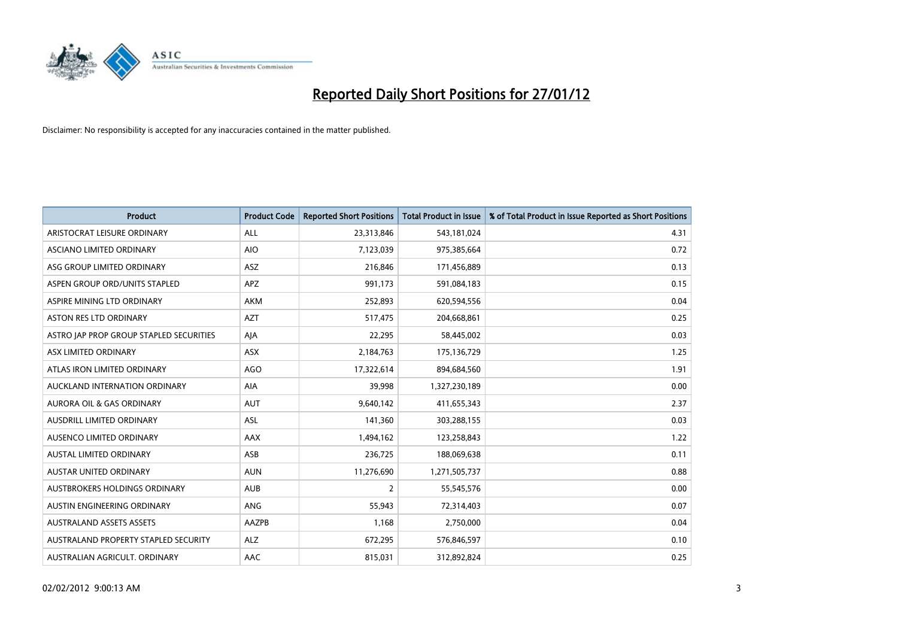

| <b>Product</b>                          | <b>Product Code</b> | <b>Reported Short Positions</b> | <b>Total Product in Issue</b> | % of Total Product in Issue Reported as Short Positions |
|-----------------------------------------|---------------------|---------------------------------|-------------------------------|---------------------------------------------------------|
| ARISTOCRAT LEISURE ORDINARY             | ALL                 | 23,313,846                      | 543,181,024                   | 4.31                                                    |
| ASCIANO LIMITED ORDINARY                | <b>AIO</b>          | 7,123,039                       | 975,385,664                   | 0.72                                                    |
| ASG GROUP LIMITED ORDINARY              | ASZ                 | 216,846                         | 171,456,889                   | 0.13                                                    |
| ASPEN GROUP ORD/UNITS STAPLED           | APZ                 | 991,173                         | 591,084,183                   | 0.15                                                    |
| ASPIRE MINING LTD ORDINARY              | AKM                 | 252,893                         | 620,594,556                   | 0.04                                                    |
| <b>ASTON RES LTD ORDINARY</b>           | <b>AZT</b>          | 517,475                         | 204,668,861                   | 0.25                                                    |
| ASTRO JAP PROP GROUP STAPLED SECURITIES | AJA                 | 22,295                          | 58,445,002                    | 0.03                                                    |
| ASX LIMITED ORDINARY                    | ASX                 | 2,184,763                       | 175,136,729                   | 1.25                                                    |
| ATLAS IRON LIMITED ORDINARY             | <b>AGO</b>          | 17,322,614                      | 894,684,560                   | 1.91                                                    |
| AUCKLAND INTERNATION ORDINARY           | <b>AIA</b>          | 39,998                          | 1,327,230,189                 | 0.00                                                    |
| AURORA OIL & GAS ORDINARY               | <b>AUT</b>          | 9,640,142                       | 411,655,343                   | 2.37                                                    |
| AUSDRILL LIMITED ORDINARY               | <b>ASL</b>          | 141,360                         | 303,288,155                   | 0.03                                                    |
| AUSENCO LIMITED ORDINARY                | AAX                 | 1,494,162                       | 123,258,843                   | 1.22                                                    |
| AUSTAL LIMITED ORDINARY                 | ASB                 | 236,725                         | 188,069,638                   | 0.11                                                    |
| <b>AUSTAR UNITED ORDINARY</b>           | <b>AUN</b>          | 11,276,690                      | 1,271,505,737                 | 0.88                                                    |
| AUSTBROKERS HOLDINGS ORDINARY           | <b>AUB</b>          | $\overline{2}$                  | 55,545,576                    | 0.00                                                    |
| AUSTIN ENGINEERING ORDINARY             | ANG                 | 55,943                          | 72,314,403                    | 0.07                                                    |
| <b>AUSTRALAND ASSETS ASSETS</b>         | AAZPB               | 1,168                           | 2,750,000                     | 0.04                                                    |
| AUSTRALAND PROPERTY STAPLED SECURITY    | ALZ                 | 672,295                         | 576,846,597                   | 0.10                                                    |
| AUSTRALIAN AGRICULT. ORDINARY           | AAC                 | 815,031                         | 312,892,824                   | 0.25                                                    |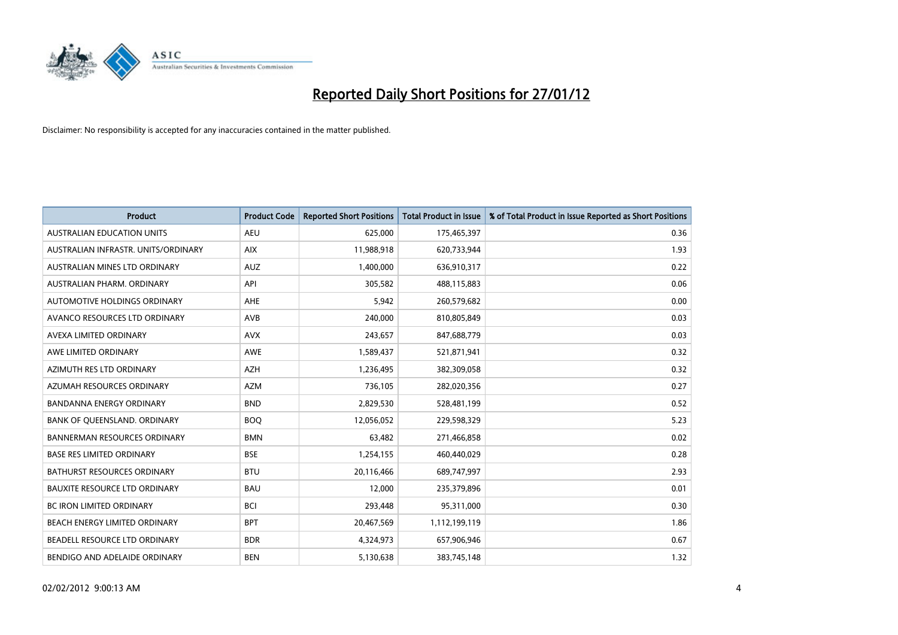

| <b>Product</b>                       | <b>Product Code</b> | <b>Reported Short Positions</b> | <b>Total Product in Issue</b> | % of Total Product in Issue Reported as Short Positions |
|--------------------------------------|---------------------|---------------------------------|-------------------------------|---------------------------------------------------------|
| <b>AUSTRALIAN EDUCATION UNITS</b>    | <b>AEU</b>          | 625,000                         | 175,465,397                   | 0.36                                                    |
| AUSTRALIAN INFRASTR. UNITS/ORDINARY  | <b>AIX</b>          | 11,988,918                      | 620,733,944                   | 1.93                                                    |
| AUSTRALIAN MINES LTD ORDINARY        | <b>AUZ</b>          | 1,400,000                       | 636,910,317                   | 0.22                                                    |
| AUSTRALIAN PHARM, ORDINARY           | API                 | 305,582                         | 488,115,883                   | 0.06                                                    |
| AUTOMOTIVE HOLDINGS ORDINARY         | AHE                 | 5,942                           | 260,579,682                   | 0.00                                                    |
| AVANCO RESOURCES LTD ORDINARY        | AVB                 | 240,000                         | 810,805,849                   | 0.03                                                    |
| AVEXA LIMITED ORDINARY               | <b>AVX</b>          | 243,657                         | 847,688,779                   | 0.03                                                    |
| AWE LIMITED ORDINARY                 | AWE                 | 1,589,437                       | 521,871,941                   | 0.32                                                    |
| AZIMUTH RES LTD ORDINARY             | <b>AZH</b>          | 1,236,495                       | 382,309,058                   | 0.32                                                    |
| AZUMAH RESOURCES ORDINARY            | <b>AZM</b>          | 736,105                         | 282,020,356                   | 0.27                                                    |
| BANDANNA ENERGY ORDINARY             | <b>BND</b>          | 2,829,530                       | 528,481,199                   | 0.52                                                    |
| BANK OF QUEENSLAND. ORDINARY         | <b>BOQ</b>          | 12,056,052                      | 229,598,329                   | 5.23                                                    |
| BANNERMAN RESOURCES ORDINARY         | <b>BMN</b>          | 63,482                          | 271,466,858                   | 0.02                                                    |
| <b>BASE RES LIMITED ORDINARY</b>     | <b>BSE</b>          | 1,254,155                       | 460,440,029                   | 0.28                                                    |
| <b>BATHURST RESOURCES ORDINARY</b>   | <b>BTU</b>          | 20,116,466                      | 689,747,997                   | 2.93                                                    |
| <b>BAUXITE RESOURCE LTD ORDINARY</b> | <b>BAU</b>          | 12,000                          | 235,379,896                   | 0.01                                                    |
| BC IRON LIMITED ORDINARY             | <b>BCI</b>          | 293,448                         | 95,311,000                    | 0.30                                                    |
| BEACH ENERGY LIMITED ORDINARY        | <b>BPT</b>          | 20,467,569                      | 1,112,199,119                 | 1.86                                                    |
| BEADELL RESOURCE LTD ORDINARY        | <b>BDR</b>          | 4,324,973                       | 657,906,946                   | 0.67                                                    |
| BENDIGO AND ADELAIDE ORDINARY        | <b>BEN</b>          | 5,130,638                       | 383,745,148                   | 1.32                                                    |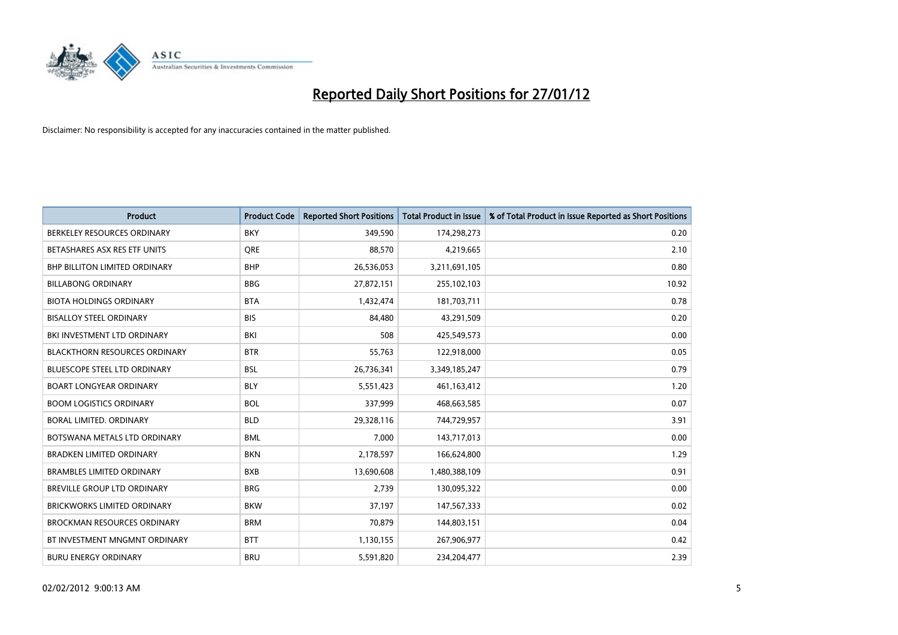

| Product                              | <b>Product Code</b> | <b>Reported Short Positions</b> | <b>Total Product in Issue</b> | % of Total Product in Issue Reported as Short Positions |
|--------------------------------------|---------------------|---------------------------------|-------------------------------|---------------------------------------------------------|
| BERKELEY RESOURCES ORDINARY          | <b>BKY</b>          | 349,590                         | 174,298,273                   | 0.20                                                    |
| BETASHARES ASX RES ETF UNITS         | <b>ORE</b>          | 88,570                          | 4,219,665                     | 2.10                                                    |
| <b>BHP BILLITON LIMITED ORDINARY</b> | <b>BHP</b>          | 26,536,053                      | 3,211,691,105                 | 0.80                                                    |
| <b>BILLABONG ORDINARY</b>            | <b>BBG</b>          | 27,872,151                      | 255,102,103                   | 10.92                                                   |
| <b>BIOTA HOLDINGS ORDINARY</b>       | <b>BTA</b>          | 1,432,474                       | 181,703,711                   | 0.78                                                    |
| <b>BISALLOY STEEL ORDINARY</b>       | <b>BIS</b>          | 84,480                          | 43,291,509                    | 0.20                                                    |
| BKI INVESTMENT LTD ORDINARY          | BKI                 | 508                             | 425,549,573                   | 0.00                                                    |
| <b>BLACKTHORN RESOURCES ORDINARY</b> | <b>BTR</b>          | 55,763                          | 122,918,000                   | 0.05                                                    |
| <b>BLUESCOPE STEEL LTD ORDINARY</b>  | <b>BSL</b>          | 26,736,341                      | 3,349,185,247                 | 0.79                                                    |
| <b>BOART LONGYEAR ORDINARY</b>       | <b>BLY</b>          | 5,551,423                       | 461,163,412                   | 1.20                                                    |
| <b>BOOM LOGISTICS ORDINARY</b>       | <b>BOL</b>          | 337,999                         | 468,663,585                   | 0.07                                                    |
| <b>BORAL LIMITED, ORDINARY</b>       | <b>BLD</b>          | 29,328,116                      | 744,729,957                   | 3.91                                                    |
| BOTSWANA METALS LTD ORDINARY         | <b>BML</b>          | 7,000                           | 143,717,013                   | 0.00                                                    |
| <b>BRADKEN LIMITED ORDINARY</b>      | <b>BKN</b>          | 2,178,597                       | 166,624,800                   | 1.29                                                    |
| <b>BRAMBLES LIMITED ORDINARY</b>     | <b>BXB</b>          | 13,690,608                      | 1,480,388,109                 | 0.91                                                    |
| BREVILLE GROUP LTD ORDINARY          | <b>BRG</b>          | 2,739                           | 130,095,322                   | 0.00                                                    |
| BRICKWORKS LIMITED ORDINARY          | <b>BKW</b>          | 37,197                          | 147,567,333                   | 0.02                                                    |
| <b>BROCKMAN RESOURCES ORDINARY</b>   | <b>BRM</b>          | 70,879                          | 144,803,151                   | 0.04                                                    |
| BT INVESTMENT MNGMNT ORDINARY        | <b>BTT</b>          | 1,130,155                       | 267,906,977                   | 0.42                                                    |
| <b>BURU ENERGY ORDINARY</b>          | <b>BRU</b>          | 5,591,820                       | 234,204,477                   | 2.39                                                    |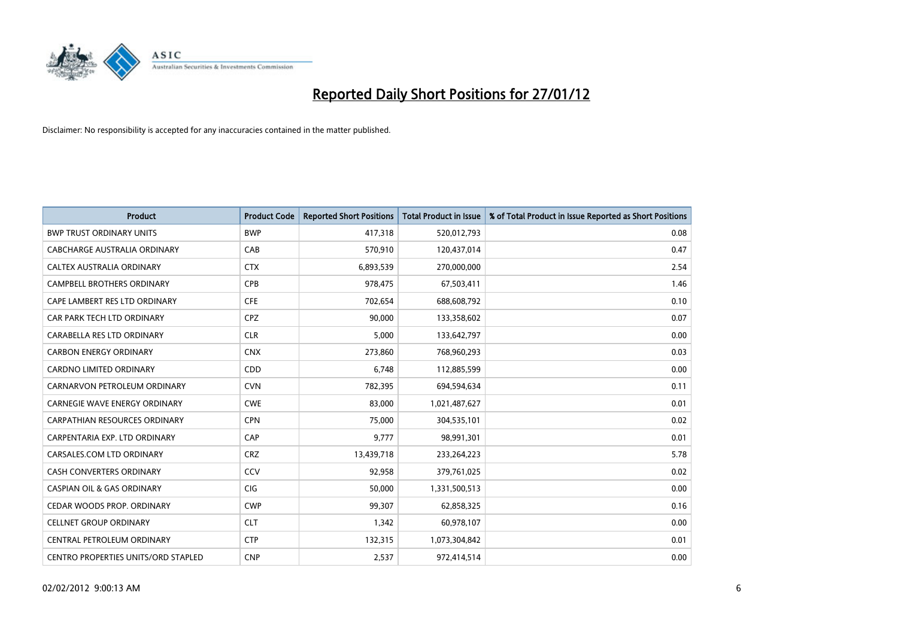

| <b>Product</b>                        | <b>Product Code</b> | <b>Reported Short Positions</b> | <b>Total Product in Issue</b> | % of Total Product in Issue Reported as Short Positions |
|---------------------------------------|---------------------|---------------------------------|-------------------------------|---------------------------------------------------------|
| <b>BWP TRUST ORDINARY UNITS</b>       | <b>BWP</b>          | 417,318                         | 520,012,793                   | 0.08                                                    |
| CABCHARGE AUSTRALIA ORDINARY          | CAB                 | 570,910                         | 120,437,014                   | 0.47                                                    |
| CALTEX AUSTRALIA ORDINARY             | <b>CTX</b>          | 6,893,539                       | 270,000,000                   | 2.54                                                    |
| CAMPBELL BROTHERS ORDINARY            | <b>CPB</b>          | 978,475                         | 67,503,411                    | 1.46                                                    |
| CAPE LAMBERT RES LTD ORDINARY         | <b>CFE</b>          | 702,654                         | 688,608,792                   | 0.10                                                    |
| CAR PARK TECH LTD ORDINARY            | <b>CPZ</b>          | 90,000                          | 133,358,602                   | 0.07                                                    |
| CARABELLA RES LTD ORDINARY            | <b>CLR</b>          | 5,000                           | 133,642,797                   | 0.00                                                    |
| <b>CARBON ENERGY ORDINARY</b>         | <b>CNX</b>          | 273,860                         | 768,960,293                   | 0.03                                                    |
| <b>CARDNO LIMITED ORDINARY</b>        | CDD                 | 6,748                           | 112,885,599                   | 0.00                                                    |
| CARNARVON PETROLEUM ORDINARY          | <b>CVN</b>          | 782,395                         | 694,594,634                   | 0.11                                                    |
| CARNEGIE WAVE ENERGY ORDINARY         | <b>CWE</b>          | 83,000                          | 1,021,487,627                 | 0.01                                                    |
| <b>CARPATHIAN RESOURCES ORDINARY</b>  | <b>CPN</b>          | 75,000                          | 304,535,101                   | 0.02                                                    |
| CARPENTARIA EXP. LTD ORDINARY         | CAP                 | 9,777                           | 98,991,301                    | 0.01                                                    |
| CARSALES.COM LTD ORDINARY             | <b>CRZ</b>          | 13,439,718                      | 233,264,223                   | 5.78                                                    |
| <b>CASH CONVERTERS ORDINARY</b>       | CCV                 | 92,958                          | 379,761,025                   | 0.02                                                    |
| <b>CASPIAN OIL &amp; GAS ORDINARY</b> | CIG                 | 50,000                          | 1,331,500,513                 | 0.00                                                    |
| CEDAR WOODS PROP. ORDINARY            | <b>CWP</b>          | 99,307                          | 62,858,325                    | 0.16                                                    |
| <b>CELLNET GROUP ORDINARY</b>         | <b>CLT</b>          | 1,342                           | 60,978,107                    | 0.00                                                    |
| CENTRAL PETROLEUM ORDINARY            | <b>CTP</b>          | 132,315                         | 1,073,304,842                 | 0.01                                                    |
| CENTRO PROPERTIES UNITS/ORD STAPLED   | <b>CNP</b>          | 2,537                           | 972,414,514                   | 0.00                                                    |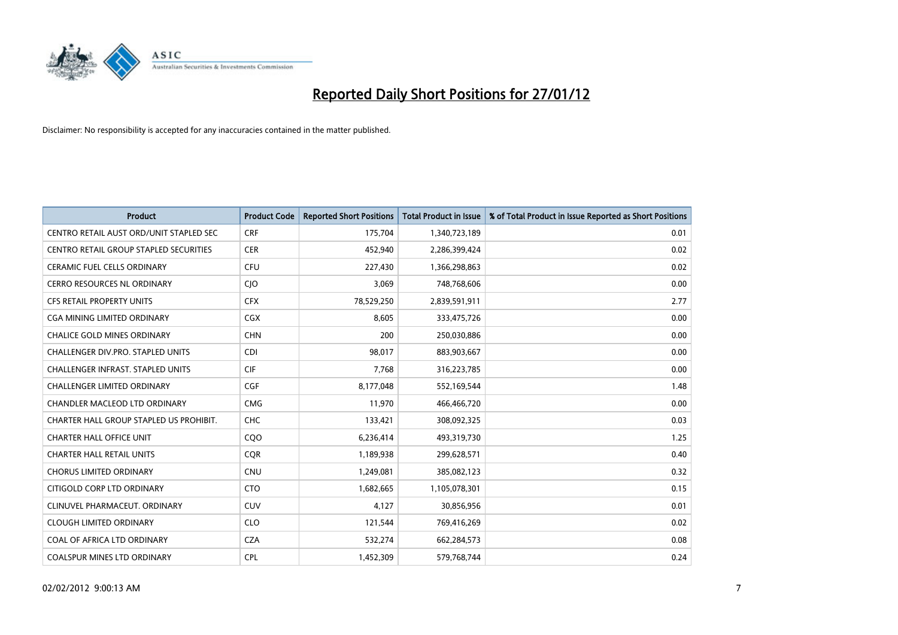

| <b>Product</b>                          | <b>Product Code</b> | <b>Reported Short Positions</b> | <b>Total Product in Issue</b> | % of Total Product in Issue Reported as Short Positions |
|-----------------------------------------|---------------------|---------------------------------|-------------------------------|---------------------------------------------------------|
| CENTRO RETAIL AUST ORD/UNIT STAPLED SEC | <b>CRF</b>          | 175,704                         | 1,340,723,189                 | 0.01                                                    |
| CENTRO RETAIL GROUP STAPLED SECURITIES  | <b>CER</b>          | 452,940                         | 2,286,399,424                 | 0.02                                                    |
| <b>CERAMIC FUEL CELLS ORDINARY</b>      | <b>CFU</b>          | 227,430                         | 1,366,298,863                 | 0.02                                                    |
| CERRO RESOURCES NL ORDINARY             | <b>CIO</b>          | 3,069                           | 748,768,606                   | 0.00                                                    |
| <b>CFS RETAIL PROPERTY UNITS</b>        | <b>CFX</b>          | 78,529,250                      | 2,839,591,911                 | 2.77                                                    |
| <b>CGA MINING LIMITED ORDINARY</b>      | CGX                 | 8,605                           | 333,475,726                   | 0.00                                                    |
| <b>CHALICE GOLD MINES ORDINARY</b>      | <b>CHN</b>          | 200                             | 250,030,886                   | 0.00                                                    |
| CHALLENGER DIV.PRO. STAPLED UNITS       | <b>CDI</b>          | 98,017                          | 883,903,667                   | 0.00                                                    |
| CHALLENGER INFRAST. STAPLED UNITS       | <b>CIF</b>          | 7,768                           | 316,223,785                   | 0.00                                                    |
| <b>CHALLENGER LIMITED ORDINARY</b>      | <b>CGF</b>          | 8,177,048                       | 552,169,544                   | 1.48                                                    |
| CHANDLER MACLEOD LTD ORDINARY           | <b>CMG</b>          | 11,970                          | 466,466,720                   | 0.00                                                    |
| CHARTER HALL GROUP STAPLED US PROHIBIT. | <b>CHC</b>          | 133,421                         | 308,092,325                   | 0.03                                                    |
| <b>CHARTER HALL OFFICE UNIT</b>         | C <sub>O</sub> O    | 6,236,414                       | 493,319,730                   | 1.25                                                    |
| <b>CHARTER HALL RETAIL UNITS</b>        | <b>COR</b>          | 1,189,938                       | 299,628,571                   | 0.40                                                    |
| <b>CHORUS LIMITED ORDINARY</b>          | <b>CNU</b>          | 1,249,081                       | 385,082,123                   | 0.32                                                    |
| CITIGOLD CORP LTD ORDINARY              | <b>CTO</b>          | 1,682,665                       | 1,105,078,301                 | 0.15                                                    |
| CLINUVEL PHARMACEUT, ORDINARY           | CUV                 | 4,127                           | 30,856,956                    | 0.01                                                    |
| <b>CLOUGH LIMITED ORDINARY</b>          | <b>CLO</b>          | 121,544                         | 769,416,269                   | 0.02                                                    |
| COAL OF AFRICA LTD ORDINARY             | <b>CZA</b>          | 532,274                         | 662,284,573                   | 0.08                                                    |
| <b>COALSPUR MINES LTD ORDINARY</b>      | <b>CPL</b>          | 1,452,309                       | 579,768,744                   | 0.24                                                    |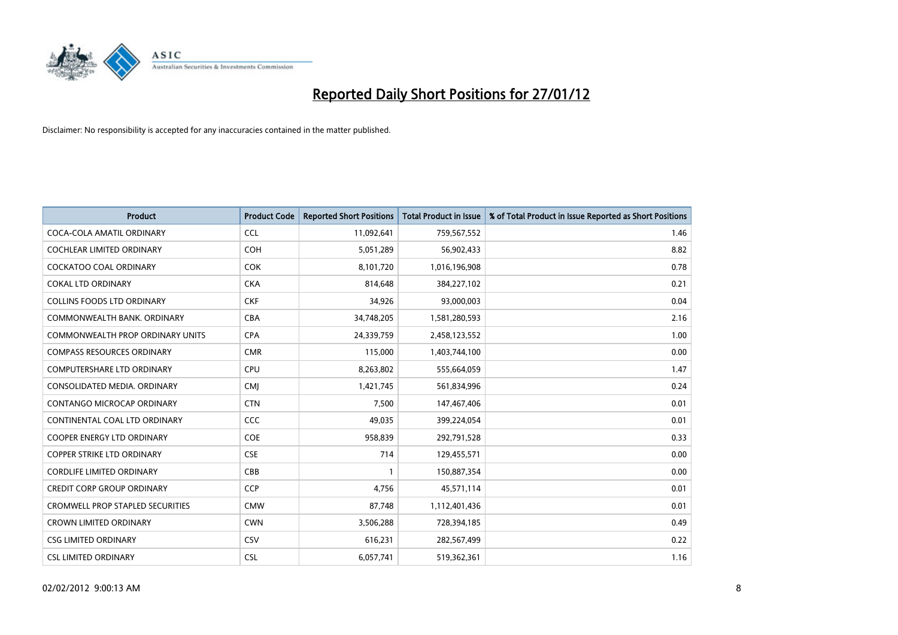

| Product                                 | <b>Product Code</b> | <b>Reported Short Positions</b> | <b>Total Product in Issue</b> | % of Total Product in Issue Reported as Short Positions |
|-----------------------------------------|---------------------|---------------------------------|-------------------------------|---------------------------------------------------------|
| COCA-COLA AMATIL ORDINARY               | <b>CCL</b>          | 11,092,641                      | 759,567,552                   | 1.46                                                    |
| <b>COCHLEAR LIMITED ORDINARY</b>        | <b>COH</b>          | 5,051,289                       | 56,902,433                    | 8.82                                                    |
| <b>COCKATOO COAL ORDINARY</b>           | <b>COK</b>          | 8,101,720                       | 1,016,196,908                 | 0.78                                                    |
| <b>COKAL LTD ORDINARY</b>               | <b>CKA</b>          | 814,648                         | 384,227,102                   | 0.21                                                    |
| <b>COLLINS FOODS LTD ORDINARY</b>       | <b>CKF</b>          | 34,926                          | 93,000,003                    | 0.04                                                    |
| COMMONWEALTH BANK, ORDINARY             | <b>CBA</b>          | 34,748,205                      | 1,581,280,593                 | 2.16                                                    |
| <b>COMMONWEALTH PROP ORDINARY UNITS</b> | <b>CPA</b>          | 24,339,759                      | 2,458,123,552                 | 1.00                                                    |
| <b>COMPASS RESOURCES ORDINARY</b>       | <b>CMR</b>          | 115,000                         | 1,403,744,100                 | 0.00                                                    |
| <b>COMPUTERSHARE LTD ORDINARY</b>       | <b>CPU</b>          | 8,263,802                       | 555,664,059                   | 1.47                                                    |
| CONSOLIDATED MEDIA, ORDINARY            | <b>CMI</b>          | 1,421,745                       | 561,834,996                   | 0.24                                                    |
| CONTANGO MICROCAP ORDINARY              | <b>CTN</b>          | 7,500                           | 147,467,406                   | 0.01                                                    |
| CONTINENTAL COAL LTD ORDINARY           | CCC                 | 49,035                          | 399,224,054                   | 0.01                                                    |
| <b>COOPER ENERGY LTD ORDINARY</b>       | <b>COE</b>          | 958,839                         | 292,791,528                   | 0.33                                                    |
| <b>COPPER STRIKE LTD ORDINARY</b>       | <b>CSE</b>          | 714                             | 129,455,571                   | 0.00                                                    |
| <b>CORDLIFE LIMITED ORDINARY</b>        | CBB                 | $\mathbf{1}$                    | 150,887,354                   | 0.00                                                    |
| <b>CREDIT CORP GROUP ORDINARY</b>       | <b>CCP</b>          | 4,756                           | 45,571,114                    | 0.01                                                    |
| CROMWELL PROP STAPLED SECURITIES        | <b>CMW</b>          | 87,748                          | 1,112,401,436                 | 0.01                                                    |
| <b>CROWN LIMITED ORDINARY</b>           | <b>CWN</b>          | 3,506,288                       | 728,394,185                   | 0.49                                                    |
| <b>CSG LIMITED ORDINARY</b>             | CSV                 | 616,231                         | 282,567,499                   | 0.22                                                    |
| <b>CSL LIMITED ORDINARY</b>             | <b>CSL</b>          | 6,057,741                       | 519,362,361                   | 1.16                                                    |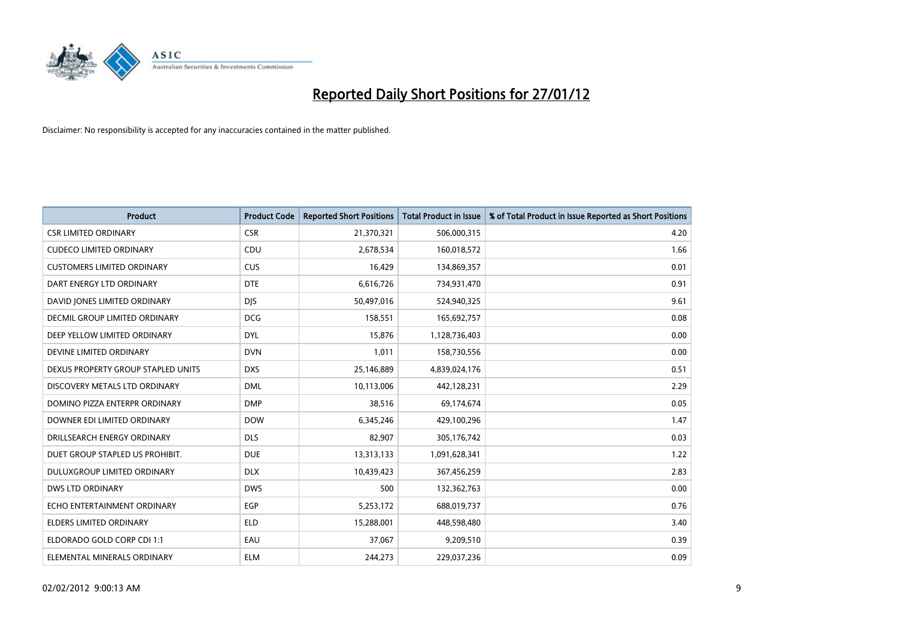

| <b>Product</b>                     | <b>Product Code</b> | <b>Reported Short Positions</b> | <b>Total Product in Issue</b> | % of Total Product in Issue Reported as Short Positions |
|------------------------------------|---------------------|---------------------------------|-------------------------------|---------------------------------------------------------|
| <b>CSR LIMITED ORDINARY</b>        | <b>CSR</b>          | 21,370,321                      | 506,000,315                   | 4.20                                                    |
| <b>CUDECO LIMITED ORDINARY</b>     | <b>CDU</b>          | 2,678,534                       | 160,018,572                   | 1.66                                                    |
| <b>CUSTOMERS LIMITED ORDINARY</b>  | <b>CUS</b>          | 16,429                          | 134,869,357                   | 0.01                                                    |
| DART ENERGY LTD ORDINARY           | <b>DTE</b>          | 6,616,726                       | 734,931,470                   | 0.91                                                    |
| DAVID JONES LIMITED ORDINARY       | <b>DJS</b>          | 50,497,016                      | 524,940,325                   | 9.61                                                    |
| DECMIL GROUP LIMITED ORDINARY      | <b>DCG</b>          | 158,551                         | 165,692,757                   | 0.08                                                    |
| DEEP YELLOW LIMITED ORDINARY       | <b>DYL</b>          | 15,876                          | 1,128,736,403                 | 0.00                                                    |
| DEVINE LIMITED ORDINARY            | <b>DVN</b>          | 1,011                           | 158,730,556                   | 0.00                                                    |
| DEXUS PROPERTY GROUP STAPLED UNITS | <b>DXS</b>          | 25,146,889                      | 4,839,024,176                 | 0.51                                                    |
| DISCOVERY METALS LTD ORDINARY      | <b>DML</b>          | 10,113,006                      | 442,128,231                   | 2.29                                                    |
| DOMINO PIZZA ENTERPR ORDINARY      | <b>DMP</b>          | 38,516                          | 69,174,674                    | 0.05                                                    |
| DOWNER EDI LIMITED ORDINARY        | <b>DOW</b>          | 6,345,246                       | 429,100,296                   | 1.47                                                    |
| DRILLSEARCH ENERGY ORDINARY        | <b>DLS</b>          | 82,907                          | 305,176,742                   | 0.03                                                    |
| DUET GROUP STAPLED US PROHIBIT.    | <b>DUE</b>          | 13,313,133                      | 1,091,628,341                 | 1.22                                                    |
| DULUXGROUP LIMITED ORDINARY        | <b>DLX</b>          | 10,439,423                      | 367,456,259                   | 2.83                                                    |
| <b>DWS LTD ORDINARY</b>            | <b>DWS</b>          | 500                             | 132,362,763                   | 0.00                                                    |
| ECHO ENTERTAINMENT ORDINARY        | EGP                 | 5,253,172                       | 688,019,737                   | 0.76                                                    |
| ELDERS LIMITED ORDINARY            | <b>ELD</b>          | 15,288,001                      | 448,598,480                   | 3.40                                                    |
| ELDORADO GOLD CORP CDI 1:1         | EAU                 | 37,067                          | 9,209,510                     | 0.39                                                    |
| ELEMENTAL MINERALS ORDINARY        | <b>ELM</b>          | 244,273                         | 229,037,236                   | 0.09                                                    |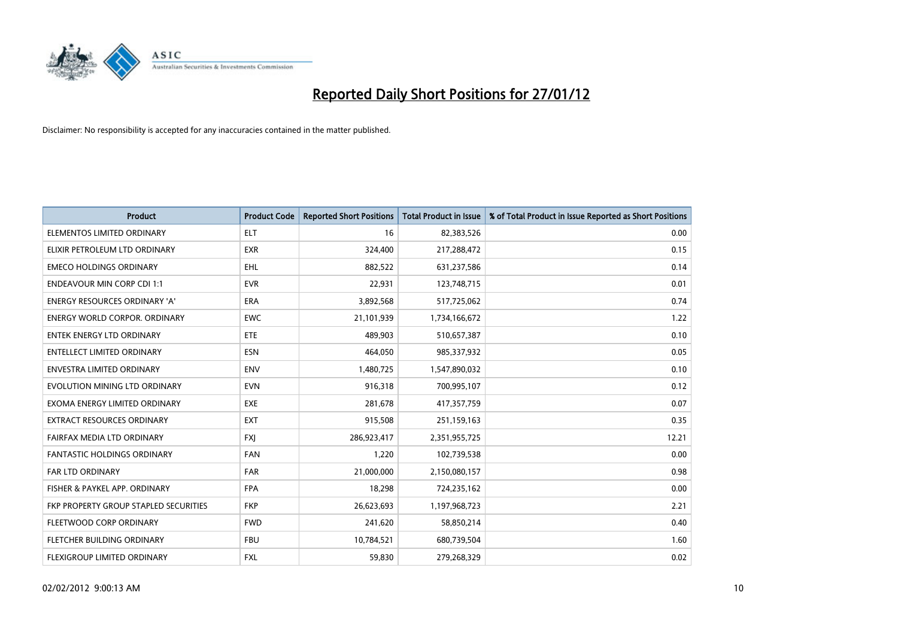

| Product                               | <b>Product Code</b> | <b>Reported Short Positions</b> | <b>Total Product in Issue</b> | % of Total Product in Issue Reported as Short Positions |
|---------------------------------------|---------------------|---------------------------------|-------------------------------|---------------------------------------------------------|
| ELEMENTOS LIMITED ORDINARY            | <b>ELT</b>          | 16                              | 82,383,526                    | 0.00                                                    |
| ELIXIR PETROLEUM LTD ORDINARY         | <b>EXR</b>          | 324,400                         | 217,288,472                   | 0.15                                                    |
| <b>EMECO HOLDINGS ORDINARY</b>        | <b>EHL</b>          | 882,522                         | 631,237,586                   | 0.14                                                    |
| <b>ENDEAVOUR MIN CORP CDI 1:1</b>     | <b>EVR</b>          | 22,931                          | 123,748,715                   | 0.01                                                    |
| <b>ENERGY RESOURCES ORDINARY 'A'</b>  | <b>ERA</b>          | 3,892,568                       | 517,725,062                   | 0.74                                                    |
| <b>ENERGY WORLD CORPOR, ORDINARY</b>  | <b>EWC</b>          | 21,101,939                      | 1,734,166,672                 | 1.22                                                    |
| <b>ENTEK ENERGY LTD ORDINARY</b>      | ETE                 | 489,903                         | 510,657,387                   | 0.10                                                    |
| <b>ENTELLECT LIMITED ORDINARY</b>     | <b>ESN</b>          | 464,050                         | 985,337,932                   | 0.05                                                    |
| <b>ENVESTRA LIMITED ORDINARY</b>      | <b>ENV</b>          | 1,480,725                       | 1,547,890,032                 | 0.10                                                    |
| EVOLUTION MINING LTD ORDINARY         | <b>EVN</b>          | 916,318                         | 700,995,107                   | 0.12                                                    |
| EXOMA ENERGY LIMITED ORDINARY         | <b>EXE</b>          | 281,678                         | 417,357,759                   | 0.07                                                    |
| EXTRACT RESOURCES ORDINARY            | <b>EXT</b>          | 915,508                         | 251,159,163                   | 0.35                                                    |
| FAIRFAX MEDIA LTD ORDINARY            | <b>FXI</b>          | 286,923,417                     | 2,351,955,725                 | 12.21                                                   |
| <b>FANTASTIC HOLDINGS ORDINARY</b>    | <b>FAN</b>          | 1,220                           | 102,739,538                   | 0.00                                                    |
| FAR LTD ORDINARY                      | <b>FAR</b>          | 21,000,000                      | 2,150,080,157                 | 0.98                                                    |
| FISHER & PAYKEL APP. ORDINARY         | <b>FPA</b>          | 18,298                          | 724,235,162                   | 0.00                                                    |
| FKP PROPERTY GROUP STAPLED SECURITIES | <b>FKP</b>          | 26,623,693                      | 1,197,968,723                 | 2.21                                                    |
| FLEETWOOD CORP ORDINARY               | <b>FWD</b>          | 241,620                         | 58,850,214                    | 0.40                                                    |
| FLETCHER BUILDING ORDINARY            | <b>FBU</b>          | 10,784,521                      | 680,739,504                   | 1.60                                                    |
| <b>FLEXIGROUP LIMITED ORDINARY</b>    | FXL                 | 59,830                          | 279,268,329                   | 0.02                                                    |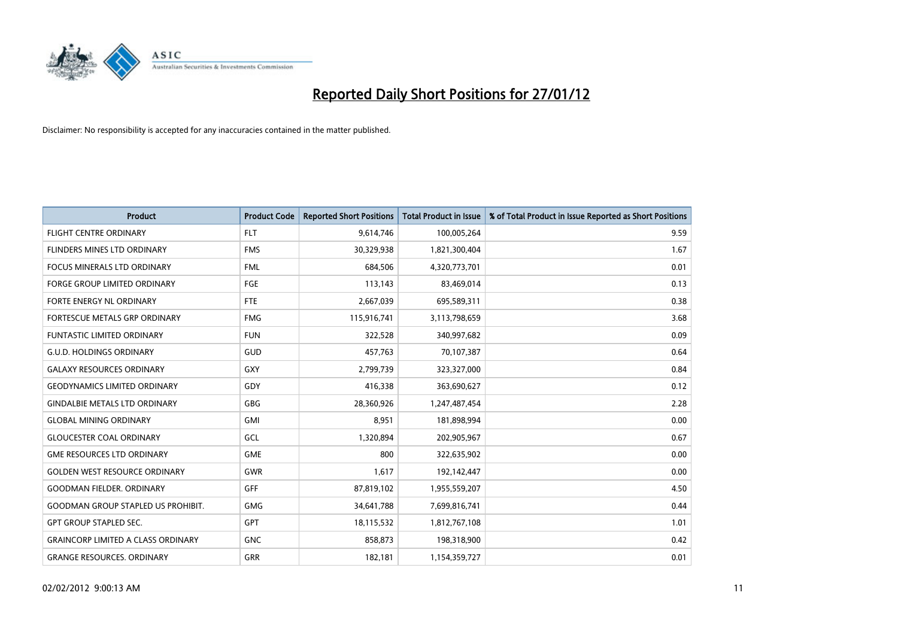

| <b>Product</b>                            | <b>Product Code</b> | <b>Reported Short Positions</b> | <b>Total Product in Issue</b> | % of Total Product in Issue Reported as Short Positions |
|-------------------------------------------|---------------------|---------------------------------|-------------------------------|---------------------------------------------------------|
| <b>FLIGHT CENTRE ORDINARY</b>             | <b>FLT</b>          | 9,614,746                       | 100,005,264                   | 9.59                                                    |
| FLINDERS MINES LTD ORDINARY               | <b>FMS</b>          | 30,329,938                      | 1,821,300,404                 | 1.67                                                    |
| <b>FOCUS MINERALS LTD ORDINARY</b>        | <b>FML</b>          | 684,506                         | 4,320,773,701                 | 0.01                                                    |
| <b>FORGE GROUP LIMITED ORDINARY</b>       | FGE                 | 113,143                         | 83,469,014                    | 0.13                                                    |
| FORTE ENERGY NL ORDINARY                  | FTE                 | 2,667,039                       | 695,589,311                   | 0.38                                                    |
| FORTESCUE METALS GRP ORDINARY             | <b>FMG</b>          | 115,916,741                     | 3,113,798,659                 | 3.68                                                    |
| <b>FUNTASTIC LIMITED ORDINARY</b>         | <b>FUN</b>          | 322,528                         | 340,997,682                   | 0.09                                                    |
| <b>G.U.D. HOLDINGS ORDINARY</b>           | GUD                 | 457,763                         | 70,107,387                    | 0.64                                                    |
| <b>GALAXY RESOURCES ORDINARY</b>          | GXY                 | 2,799,739                       | 323,327,000                   | 0.84                                                    |
| <b>GEODYNAMICS LIMITED ORDINARY</b>       | GDY                 | 416,338                         | 363,690,627                   | 0.12                                                    |
| <b>GINDALBIE METALS LTD ORDINARY</b>      | GBG                 | 28,360,926                      | 1,247,487,454                 | 2.28                                                    |
| <b>GLOBAL MINING ORDINARY</b>             | GMI                 | 8,951                           | 181,898,994                   | 0.00                                                    |
| <b>GLOUCESTER COAL ORDINARY</b>           | GCL                 | 1,320,894                       | 202,905,967                   | 0.67                                                    |
| <b>GME RESOURCES LTD ORDINARY</b>         | <b>GME</b>          | 800                             | 322,635,902                   | 0.00                                                    |
| <b>GOLDEN WEST RESOURCE ORDINARY</b>      | <b>GWR</b>          | 1,617                           | 192,142,447                   | 0.00                                                    |
| <b>GOODMAN FIELDER, ORDINARY</b>          | <b>GFF</b>          | 87,819,102                      | 1,955,559,207                 | 4.50                                                    |
| <b>GOODMAN GROUP STAPLED US PROHIBIT.</b> | <b>GMG</b>          | 34,641,788                      | 7,699,816,741                 | 0.44                                                    |
| <b>GPT GROUP STAPLED SEC.</b>             | <b>GPT</b>          | 18,115,532                      | 1,812,767,108                 | 1.01                                                    |
| <b>GRAINCORP LIMITED A CLASS ORDINARY</b> | <b>GNC</b>          | 858,873                         | 198,318,900                   | 0.42                                                    |
| <b>GRANGE RESOURCES, ORDINARY</b>         | GRR                 | 182,181                         | 1,154,359,727                 | 0.01                                                    |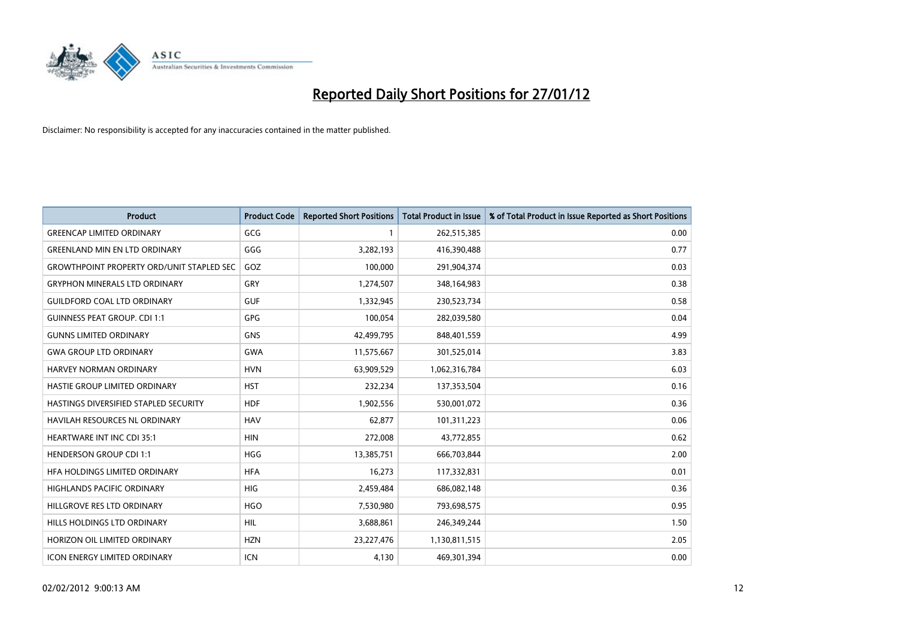

| <b>Product</b>                                   | <b>Product Code</b> | <b>Reported Short Positions</b> | <b>Total Product in Issue</b> | % of Total Product in Issue Reported as Short Positions |
|--------------------------------------------------|---------------------|---------------------------------|-------------------------------|---------------------------------------------------------|
| <b>GREENCAP LIMITED ORDINARY</b>                 | GCG                 | 1                               | 262,515,385                   | 0.00                                                    |
| <b>GREENLAND MIN EN LTD ORDINARY</b>             | GGG                 | 3,282,193                       | 416,390,488                   | 0.77                                                    |
| <b>GROWTHPOINT PROPERTY ORD/UNIT STAPLED SEC</b> | GOZ                 | 100,000                         | 291,904,374                   | 0.03                                                    |
| <b>GRYPHON MINERALS LTD ORDINARY</b>             | GRY                 | 1,274,507                       | 348,164,983                   | 0.38                                                    |
| <b>GUILDFORD COAL LTD ORDINARY</b>               | <b>GUF</b>          | 1,332,945                       | 230,523,734                   | 0.58                                                    |
| <b>GUINNESS PEAT GROUP. CDI 1:1</b>              | <b>GPG</b>          | 100,054                         | 282,039,580                   | 0.04                                                    |
| <b>GUNNS LIMITED ORDINARY</b>                    | <b>GNS</b>          | 42,499,795                      | 848,401,559                   | 4.99                                                    |
| <b>GWA GROUP LTD ORDINARY</b>                    | <b>GWA</b>          | 11,575,667                      | 301,525,014                   | 3.83                                                    |
| <b>HARVEY NORMAN ORDINARY</b>                    | <b>HVN</b>          | 63,909,529                      | 1,062,316,784                 | 6.03                                                    |
| HASTIE GROUP LIMITED ORDINARY                    | <b>HST</b>          | 232,234                         | 137,353,504                   | 0.16                                                    |
| HASTINGS DIVERSIFIED STAPLED SECURITY            | <b>HDF</b>          | 1,902,556                       | 530,001,072                   | 0.36                                                    |
| <b>HAVILAH RESOURCES NL ORDINARY</b>             | <b>HAV</b>          | 62,877                          | 101,311,223                   | 0.06                                                    |
| HEARTWARE INT INC CDI 35:1                       | <b>HIN</b>          | 272,008                         | 43,772,855                    | 0.62                                                    |
| <b>HENDERSON GROUP CDI 1:1</b>                   | <b>HGG</b>          | 13,385,751                      | 666,703,844                   | 2.00                                                    |
| HFA HOLDINGS LIMITED ORDINARY                    | <b>HFA</b>          | 16,273                          | 117,332,831                   | 0.01                                                    |
| HIGHLANDS PACIFIC ORDINARY                       | HIG                 | 2,459,484                       | 686,082,148                   | 0.36                                                    |
| HILLGROVE RES LTD ORDINARY                       | <b>HGO</b>          | 7,530,980                       | 793,698,575                   | 0.95                                                    |
| HILLS HOLDINGS LTD ORDINARY                      | <b>HIL</b>          | 3,688,861                       | 246,349,244                   | 1.50                                                    |
| HORIZON OIL LIMITED ORDINARY                     | <b>HZN</b>          | 23,227,476                      | 1,130,811,515                 | 2.05                                                    |
| ICON ENERGY LIMITED ORDINARY                     | ICN                 | 4,130                           | 469,301,394                   | 0.00                                                    |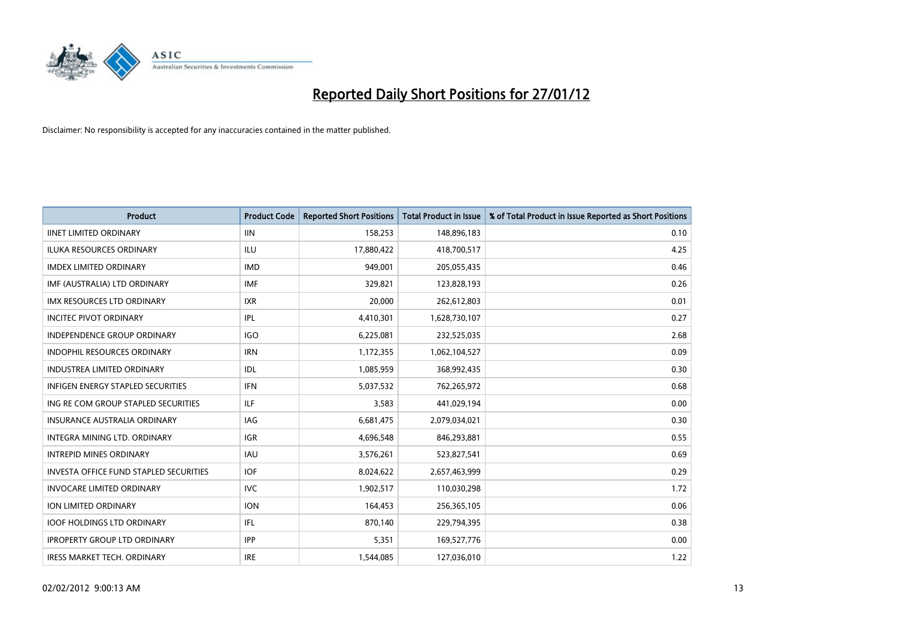

| <b>Product</b>                                | <b>Product Code</b> | <b>Reported Short Positions</b> | <b>Total Product in Issue</b> | % of Total Product in Issue Reported as Short Positions |
|-----------------------------------------------|---------------------|---------------------------------|-------------------------------|---------------------------------------------------------|
| <b>IINET LIMITED ORDINARY</b>                 | <b>IIN</b>          | 158,253                         | 148,896,183                   | 0.10                                                    |
| ILUKA RESOURCES ORDINARY                      | ILU                 | 17,880,422                      | 418,700,517                   | 4.25                                                    |
| <b>IMDEX LIMITED ORDINARY</b>                 | <b>IMD</b>          | 949,001                         | 205,055,435                   | 0.46                                                    |
| IMF (AUSTRALIA) LTD ORDINARY                  | <b>IMF</b>          | 329,821                         | 123,828,193                   | 0.26                                                    |
| <b>IMX RESOURCES LTD ORDINARY</b>             | <b>IXR</b>          | 20,000                          | 262,612,803                   | 0.01                                                    |
| <b>INCITEC PIVOT ORDINARY</b>                 | <b>IPL</b>          | 4,410,301                       | 1,628,730,107                 | 0.27                                                    |
| INDEPENDENCE GROUP ORDINARY                   | <b>IGO</b>          | 6,225,081                       | 232,525,035                   | 2.68                                                    |
| INDOPHIL RESOURCES ORDINARY                   | <b>IRN</b>          | 1,172,355                       | 1,062,104,527                 | 0.09                                                    |
| <b>INDUSTREA LIMITED ORDINARY</b>             | <b>IDL</b>          | 1,085,959                       | 368,992,435                   | 0.30                                                    |
| <b>INFIGEN ENERGY STAPLED SECURITIES</b>      | <b>IFN</b>          | 5,037,532                       | 762,265,972                   | 0.68                                                    |
| ING RE COM GROUP STAPLED SECURITIES           | ILF                 | 3,583                           | 441,029,194                   | 0.00                                                    |
| <b>INSURANCE AUSTRALIA ORDINARY</b>           | IAG                 | 6,681,475                       | 2,079,034,021                 | 0.30                                                    |
| INTEGRA MINING LTD. ORDINARY                  | <b>IGR</b>          | 4,696,548                       | 846,293,881                   | 0.55                                                    |
| <b>INTREPID MINES ORDINARY</b>                | <b>IAU</b>          | 3,576,261                       | 523,827,541                   | 0.69                                                    |
| <b>INVESTA OFFICE FUND STAPLED SECURITIES</b> | <b>IOF</b>          | 8,024,622                       | 2,657,463,999                 | 0.29                                                    |
| <b>INVOCARE LIMITED ORDINARY</b>              | <b>IVC</b>          | 1,902,517                       | 110,030,298                   | 1.72                                                    |
| ION LIMITED ORDINARY                          | <b>ION</b>          | 164,453                         | 256,365,105                   | 0.06                                                    |
| <b>IOOF HOLDINGS LTD ORDINARY</b>             | IFL                 | 870,140                         | 229,794,395                   | 0.38                                                    |
| <b>IPROPERTY GROUP LTD ORDINARY</b>           | <b>IPP</b>          | 5,351                           | 169,527,776                   | 0.00                                                    |
| <b>IRESS MARKET TECH. ORDINARY</b>            | <b>IRE</b>          | 1,544,085                       | 127,036,010                   | 1.22                                                    |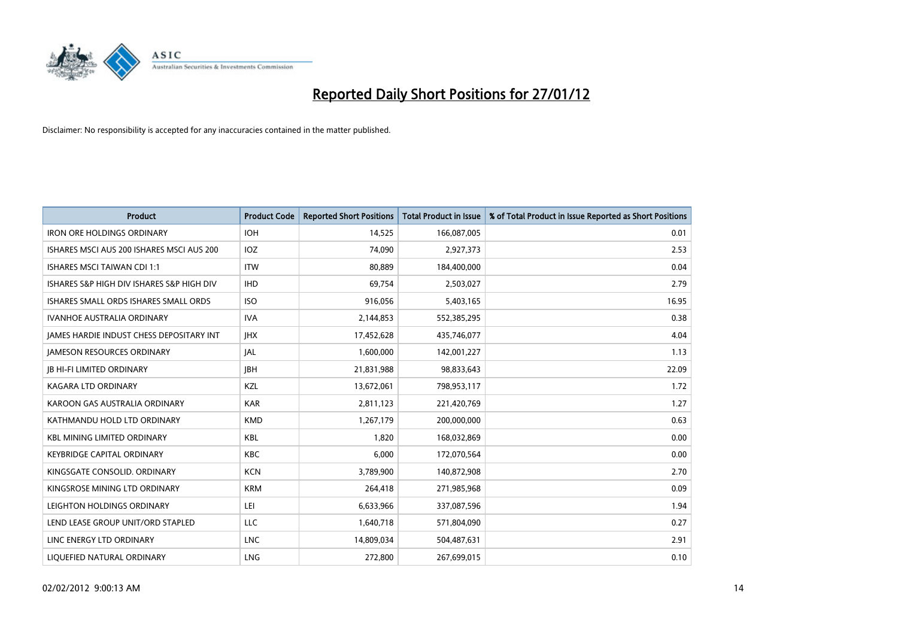

| <b>Product</b>                            | <b>Product Code</b> | <b>Reported Short Positions</b> | <b>Total Product in Issue</b> | % of Total Product in Issue Reported as Short Positions |
|-------------------------------------------|---------------------|---------------------------------|-------------------------------|---------------------------------------------------------|
| <b>IRON ORE HOLDINGS ORDINARY</b>         | <b>IOH</b>          | 14,525                          | 166,087,005                   | 0.01                                                    |
| ISHARES MSCI AUS 200 ISHARES MSCI AUS 200 | <b>IOZ</b>          | 74,090                          | 2,927,373                     | 2.53                                                    |
| <b>ISHARES MSCI TAIWAN CDI 1:1</b>        | <b>ITW</b>          | 80,889                          | 184,400,000                   | 0.04                                                    |
| ISHARES S&P HIGH DIV ISHARES S&P HIGH DIV | <b>IHD</b>          | 69,754                          | 2,503,027                     | 2.79                                                    |
| ISHARES SMALL ORDS ISHARES SMALL ORDS     | <b>ISO</b>          | 916,056                         | 5,403,165                     | 16.95                                                   |
| <b>IVANHOE AUSTRALIA ORDINARY</b>         | <b>IVA</b>          | 2,144,853                       | 552,385,295                   | 0.38                                                    |
| JAMES HARDIE INDUST CHESS DEPOSITARY INT  | <b>JHX</b>          | 17,452,628                      | 435,746,077                   | 4.04                                                    |
| <b>JAMESON RESOURCES ORDINARY</b>         | <b>JAL</b>          | 1,600,000                       | 142,001,227                   | 1.13                                                    |
| <b>JB HI-FI LIMITED ORDINARY</b>          | <b>JBH</b>          | 21,831,988                      | 98,833,643                    | 22.09                                                   |
| <b>KAGARA LTD ORDINARY</b>                | <b>KZL</b>          | 13,672,061                      | 798,953,117                   | 1.72                                                    |
| KAROON GAS AUSTRALIA ORDINARY             | <b>KAR</b>          | 2,811,123                       | 221,420,769                   | 1.27                                                    |
| KATHMANDU HOLD LTD ORDINARY               | <b>KMD</b>          | 1,267,179                       | 200,000,000                   | 0.63                                                    |
| <b>KBL MINING LIMITED ORDINARY</b>        | <b>KBL</b>          | 1,820                           | 168,032,869                   | 0.00                                                    |
| <b>KEYBRIDGE CAPITAL ORDINARY</b>         | KBC                 | 6,000                           | 172,070,564                   | 0.00                                                    |
| KINGSGATE CONSOLID, ORDINARY              | <b>KCN</b>          | 3,789,900                       | 140,872,908                   | 2.70                                                    |
| KINGSROSE MINING LTD ORDINARY             | <b>KRM</b>          | 264,418                         | 271,985,968                   | 0.09                                                    |
| LEIGHTON HOLDINGS ORDINARY                | LEI                 | 6,633,966                       | 337,087,596                   | 1.94                                                    |
| LEND LEASE GROUP UNIT/ORD STAPLED         | <b>LLC</b>          | 1,640,718                       | 571,804,090                   | 0.27                                                    |
| LINC ENERGY LTD ORDINARY                  | <b>LNC</b>          | 14,809,034                      | 504,487,631                   | 2.91                                                    |
| LIQUEFIED NATURAL ORDINARY                | <b>LNG</b>          | 272,800                         | 267,699,015                   | 0.10                                                    |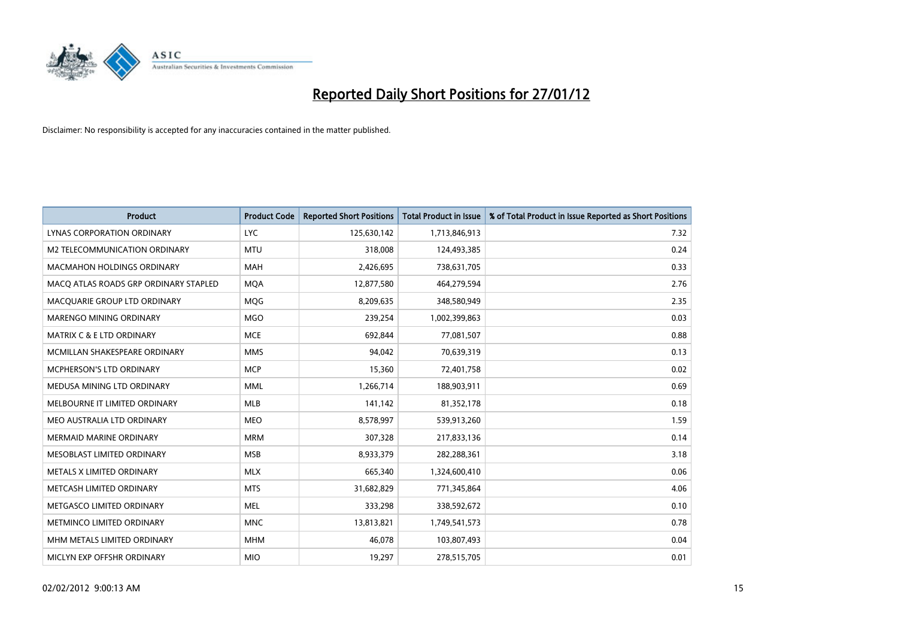

| <b>Product</b>                        | <b>Product Code</b> | <b>Reported Short Positions</b> | Total Product in Issue | % of Total Product in Issue Reported as Short Positions |
|---------------------------------------|---------------------|---------------------------------|------------------------|---------------------------------------------------------|
| LYNAS CORPORATION ORDINARY            | <b>LYC</b>          | 125,630,142                     | 1,713,846,913          | 7.32                                                    |
| M2 TELECOMMUNICATION ORDINARY         | <b>MTU</b>          | 318,008                         | 124,493,385            | 0.24                                                    |
| MACMAHON HOLDINGS ORDINARY            | MAH                 | 2,426,695                       | 738,631,705            | 0.33                                                    |
| MACO ATLAS ROADS GRP ORDINARY STAPLED | <b>MOA</b>          | 12,877,580                      | 464,279,594            | 2.76                                                    |
| MACOUARIE GROUP LTD ORDINARY          | <b>MOG</b>          | 8,209,635                       | 348,580,949            | 2.35                                                    |
| MARENGO MINING ORDINARY               | <b>MGO</b>          | 239,254                         | 1,002,399,863          | 0.03                                                    |
| <b>MATRIX C &amp; E LTD ORDINARY</b>  | <b>MCE</b>          | 692,844                         | 77,081,507             | 0.88                                                    |
| MCMILLAN SHAKESPEARE ORDINARY         | <b>MMS</b>          | 94,042                          | 70,639,319             | 0.13                                                    |
| <b>MCPHERSON'S LTD ORDINARY</b>       | <b>MCP</b>          | 15,360                          | 72,401,758             | 0.02                                                    |
| MEDUSA MINING LTD ORDINARY            | <b>MML</b>          | 1,266,714                       | 188,903,911            | 0.69                                                    |
| MELBOURNE IT LIMITED ORDINARY         | MLB                 | 141,142                         | 81,352,178             | 0.18                                                    |
| MEO AUSTRALIA LTD ORDINARY            | <b>MEO</b>          | 8,578,997                       | 539,913,260            | 1.59                                                    |
| <b>MERMAID MARINE ORDINARY</b>        | <b>MRM</b>          | 307,328                         | 217,833,136            | 0.14                                                    |
| MESOBLAST LIMITED ORDINARY            | <b>MSB</b>          | 8,933,379                       | 282,288,361            | 3.18                                                    |
| METALS X LIMITED ORDINARY             | <b>MLX</b>          | 665,340                         | 1,324,600,410          | 0.06                                                    |
| METCASH LIMITED ORDINARY              | <b>MTS</b>          | 31,682,829                      | 771,345,864            | 4.06                                                    |
| METGASCO LIMITED ORDINARY             | <b>MEL</b>          | 333,298                         | 338,592,672            | 0.10                                                    |
| METMINCO LIMITED ORDINARY             | <b>MNC</b>          | 13,813,821                      | 1,749,541,573          | 0.78                                                    |
| MHM METALS LIMITED ORDINARY           | <b>MHM</b>          | 46,078                          | 103,807,493            | 0.04                                                    |
| MICLYN EXP OFFSHR ORDINARY            | <b>MIO</b>          | 19,297                          | 278,515,705            | 0.01                                                    |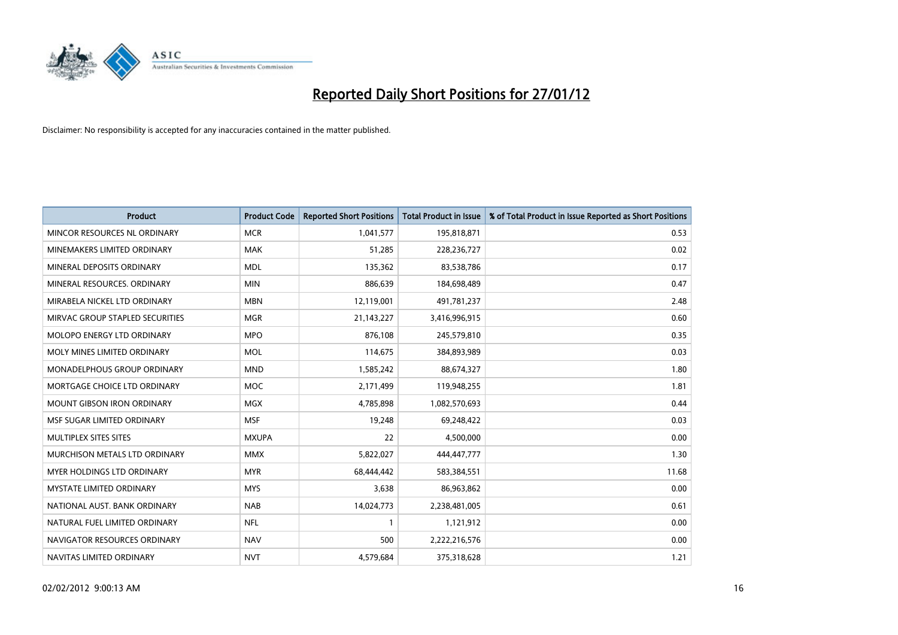

| <b>Product</b>                    | <b>Product Code</b> | <b>Reported Short Positions</b> | <b>Total Product in Issue</b> | % of Total Product in Issue Reported as Short Positions |
|-----------------------------------|---------------------|---------------------------------|-------------------------------|---------------------------------------------------------|
| MINCOR RESOURCES NL ORDINARY      | <b>MCR</b>          | 1,041,577                       | 195,818,871                   | 0.53                                                    |
| MINEMAKERS LIMITED ORDINARY       | <b>MAK</b>          | 51,285                          | 228,236,727                   | 0.02                                                    |
| MINERAL DEPOSITS ORDINARY         | <b>MDL</b>          | 135,362                         | 83,538,786                    | 0.17                                                    |
| MINERAL RESOURCES. ORDINARY       | <b>MIN</b>          | 886,639                         | 184,698,489                   | 0.47                                                    |
| MIRABELA NICKEL LTD ORDINARY      | <b>MBN</b>          | 12,119,001                      | 491,781,237                   | 2.48                                                    |
| MIRVAC GROUP STAPLED SECURITIES   | <b>MGR</b>          | 21,143,227                      | 3,416,996,915                 | 0.60                                                    |
| MOLOPO ENERGY LTD ORDINARY        | <b>MPO</b>          | 876,108                         | 245,579,810                   | 0.35                                                    |
| MOLY MINES LIMITED ORDINARY       | <b>MOL</b>          | 114,675                         | 384,893,989                   | 0.03                                                    |
| MONADELPHOUS GROUP ORDINARY       | <b>MND</b>          | 1,585,242                       | 88,674,327                    | 1.80                                                    |
| MORTGAGE CHOICE LTD ORDINARY      | <b>MOC</b>          | 2,171,499                       | 119,948,255                   | 1.81                                                    |
| <b>MOUNT GIBSON IRON ORDINARY</b> | <b>MGX</b>          | 4,785,898                       | 1,082,570,693                 | 0.44                                                    |
| MSF SUGAR LIMITED ORDINARY        | <b>MSF</b>          | 19,248                          | 69,248,422                    | 0.03                                                    |
| MULTIPLEX SITES SITES             | <b>MXUPA</b>        | 22                              | 4,500,000                     | 0.00                                                    |
| MURCHISON METALS LTD ORDINARY     | <b>MMX</b>          | 5,822,027                       | 444,447,777                   | 1.30                                                    |
| <b>MYER HOLDINGS LTD ORDINARY</b> | <b>MYR</b>          | 68,444,442                      | 583,384,551                   | 11.68                                                   |
| <b>MYSTATE LIMITED ORDINARY</b>   | <b>MYS</b>          | 3,638                           | 86,963,862                    | 0.00                                                    |
| NATIONAL AUST. BANK ORDINARY      | <b>NAB</b>          | 14,024,773                      | 2,238,481,005                 | 0.61                                                    |
| NATURAL FUEL LIMITED ORDINARY     | <b>NFL</b>          | $\mathbf{1}$                    | 1,121,912                     | 0.00                                                    |
| NAVIGATOR RESOURCES ORDINARY      | <b>NAV</b>          | 500                             | 2,222,216,576                 | 0.00                                                    |
| NAVITAS LIMITED ORDINARY          | <b>NVT</b>          | 4,579,684                       | 375,318,628                   | 1.21                                                    |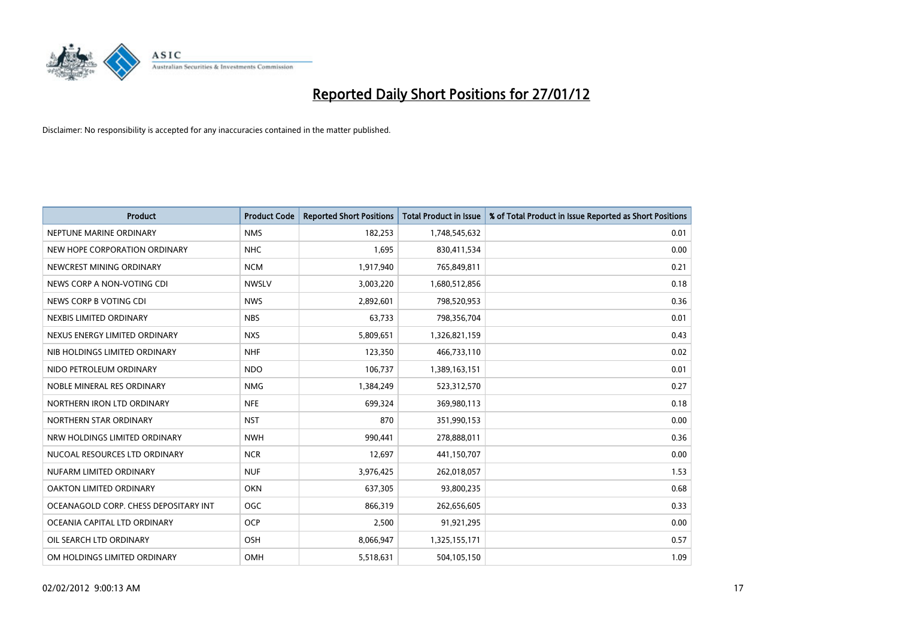

| <b>Product</b>                        | <b>Product Code</b> | <b>Reported Short Positions</b> | <b>Total Product in Issue</b> | % of Total Product in Issue Reported as Short Positions |
|---------------------------------------|---------------------|---------------------------------|-------------------------------|---------------------------------------------------------|
| NEPTUNE MARINE ORDINARY               | <b>NMS</b>          | 182,253                         | 1,748,545,632                 | 0.01                                                    |
| NEW HOPE CORPORATION ORDINARY         | <b>NHC</b>          | 1,695                           | 830,411,534                   | 0.00                                                    |
| NEWCREST MINING ORDINARY              | <b>NCM</b>          | 1,917,940                       | 765,849,811                   | 0.21                                                    |
| NEWS CORP A NON-VOTING CDI            | <b>NWSLV</b>        | 3,003,220                       | 1,680,512,856                 | 0.18                                                    |
| NEWS CORP B VOTING CDI                | <b>NWS</b>          | 2,892,601                       | 798,520,953                   | 0.36                                                    |
| NEXBIS LIMITED ORDINARY               | <b>NBS</b>          | 63,733                          | 798,356,704                   | 0.01                                                    |
| NEXUS ENERGY LIMITED ORDINARY         | <b>NXS</b>          | 5,809,651                       | 1,326,821,159                 | 0.43                                                    |
| NIB HOLDINGS LIMITED ORDINARY         | <b>NHF</b>          | 123,350                         | 466,733,110                   | 0.02                                                    |
| NIDO PETROLEUM ORDINARY               | <b>NDO</b>          | 106,737                         | 1,389,163,151                 | 0.01                                                    |
| NOBLE MINERAL RES ORDINARY            | <b>NMG</b>          | 1,384,249                       | 523,312,570                   | 0.27                                                    |
| NORTHERN IRON LTD ORDINARY            | <b>NFE</b>          | 699,324                         | 369,980,113                   | 0.18                                                    |
| NORTHERN STAR ORDINARY                | <b>NST</b>          | 870                             | 351,990,153                   | 0.00                                                    |
| NRW HOLDINGS LIMITED ORDINARY         | <b>NWH</b>          | 990,441                         | 278,888,011                   | 0.36                                                    |
| NUCOAL RESOURCES LTD ORDINARY         | <b>NCR</b>          | 12,697                          | 441,150,707                   | 0.00                                                    |
| NUFARM LIMITED ORDINARY               | <b>NUF</b>          | 3,976,425                       | 262,018,057                   | 1.53                                                    |
| OAKTON LIMITED ORDINARY               | <b>OKN</b>          | 637,305                         | 93,800,235                    | 0.68                                                    |
| OCEANAGOLD CORP. CHESS DEPOSITARY INT | <b>OGC</b>          | 866,319                         | 262,656,605                   | 0.33                                                    |
| OCEANIA CAPITAL LTD ORDINARY          | <b>OCP</b>          | 2,500                           | 91,921,295                    | 0.00                                                    |
| OIL SEARCH LTD ORDINARY               | OSH                 | 8,066,947                       | 1,325,155,171                 | 0.57                                                    |
| OM HOLDINGS LIMITED ORDINARY          | OMH                 | 5,518,631                       | 504,105,150                   | 1.09                                                    |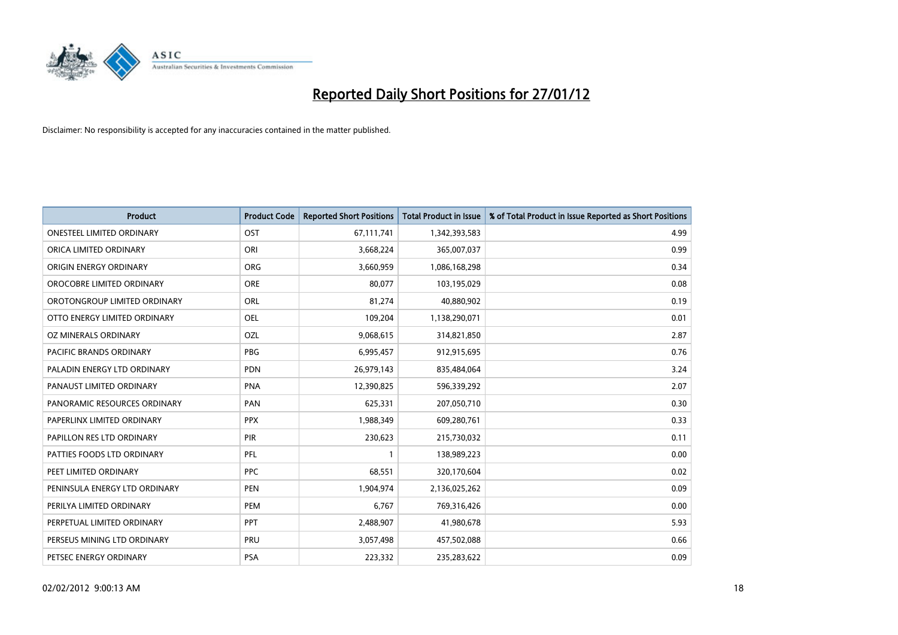

| <b>Product</b>                   | <b>Product Code</b> | <b>Reported Short Positions</b> | <b>Total Product in Issue</b> | % of Total Product in Issue Reported as Short Positions |
|----------------------------------|---------------------|---------------------------------|-------------------------------|---------------------------------------------------------|
| <b>ONESTEEL LIMITED ORDINARY</b> | OST                 | 67,111,741                      | 1,342,393,583                 | 4.99                                                    |
| ORICA LIMITED ORDINARY           | ORI                 | 3,668,224                       | 365,007,037                   | 0.99                                                    |
| ORIGIN ENERGY ORDINARY           | <b>ORG</b>          | 3,660,959                       | 1,086,168,298                 | 0.34                                                    |
| OROCOBRE LIMITED ORDINARY        | <b>ORE</b>          | 80,077                          | 103,195,029                   | 0.08                                                    |
| OROTONGROUP LIMITED ORDINARY     | ORL                 | 81,274                          | 40,880,902                    | 0.19                                                    |
| OTTO ENERGY LIMITED ORDINARY     | <b>OEL</b>          | 109,204                         | 1,138,290,071                 | 0.01                                                    |
| OZ MINERALS ORDINARY             | OZL                 | 9,068,615                       | 314,821,850                   | 2.87                                                    |
| PACIFIC BRANDS ORDINARY          | <b>PBG</b>          | 6,995,457                       | 912,915,695                   | 0.76                                                    |
| PALADIN ENERGY LTD ORDINARY      | <b>PDN</b>          | 26,979,143                      | 835,484,064                   | 3.24                                                    |
| PANAUST LIMITED ORDINARY         | <b>PNA</b>          | 12,390,825                      | 596,339,292                   | 2.07                                                    |
| PANORAMIC RESOURCES ORDINARY     | <b>PAN</b>          | 625,331                         | 207,050,710                   | 0.30                                                    |
| PAPERLINX LIMITED ORDINARY       | <b>PPX</b>          | 1,988,349                       | 609,280,761                   | 0.33                                                    |
| PAPILLON RES LTD ORDINARY        | <b>PIR</b>          | 230,623                         | 215,730,032                   | 0.11                                                    |
| PATTIES FOODS LTD ORDINARY       | PFL                 | $\mathbf{1}$                    | 138,989,223                   | 0.00                                                    |
| PEET LIMITED ORDINARY            | <b>PPC</b>          | 68,551                          | 320,170,604                   | 0.02                                                    |
| PENINSULA ENERGY LTD ORDINARY    | <b>PEN</b>          | 1,904,974                       | 2,136,025,262                 | 0.09                                                    |
| PERILYA LIMITED ORDINARY         | PEM                 | 6,767                           | 769,316,426                   | 0.00                                                    |
| PERPETUAL LIMITED ORDINARY       | PPT                 | 2,488,907                       | 41,980,678                    | 5.93                                                    |
| PERSEUS MINING LTD ORDINARY      | PRU                 | 3,057,498                       | 457,502,088                   | 0.66                                                    |
| PETSEC ENERGY ORDINARY           | <b>PSA</b>          | 223,332                         | 235,283,622                   | 0.09                                                    |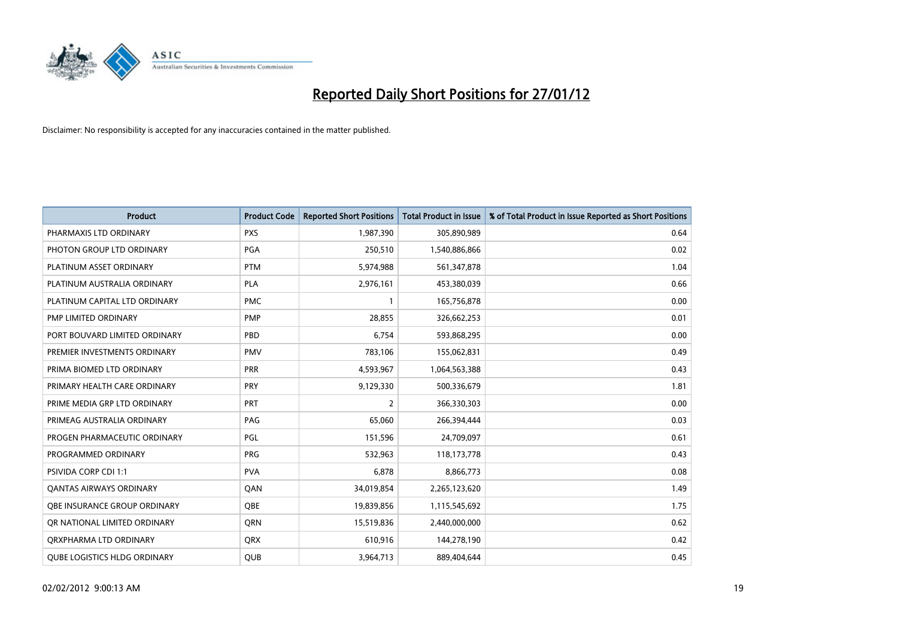

| <b>Product</b>                      | <b>Product Code</b> | <b>Reported Short Positions</b> | <b>Total Product in Issue</b> | % of Total Product in Issue Reported as Short Positions |
|-------------------------------------|---------------------|---------------------------------|-------------------------------|---------------------------------------------------------|
| PHARMAXIS LTD ORDINARY              | <b>PXS</b>          | 1,987,390                       | 305,890,989                   | 0.64                                                    |
| PHOTON GROUP LTD ORDINARY           | <b>PGA</b>          | 250,510                         | 1,540,886,866                 | 0.02                                                    |
| PLATINUM ASSET ORDINARY             | <b>PTM</b>          | 5,974,988                       | 561,347,878                   | 1.04                                                    |
| PLATINUM AUSTRALIA ORDINARY         | <b>PLA</b>          | 2,976,161                       | 453,380,039                   | 0.66                                                    |
| PLATINUM CAPITAL LTD ORDINARY       | <b>PMC</b>          | $\mathbf{1}$                    | 165,756,878                   | 0.00                                                    |
| <b>PMP LIMITED ORDINARY</b>         | PMP                 | 28,855                          | 326,662,253                   | 0.01                                                    |
| PORT BOUVARD LIMITED ORDINARY       | PBD                 | 6,754                           | 593,868,295                   | 0.00                                                    |
| PREMIER INVESTMENTS ORDINARY        | <b>PMV</b>          | 783,106                         | 155,062,831                   | 0.49                                                    |
| PRIMA BIOMED LTD ORDINARY           | <b>PRR</b>          | 4,593,967                       | 1,064,563,388                 | 0.43                                                    |
| PRIMARY HEALTH CARE ORDINARY        | <b>PRY</b>          | 9,129,330                       | 500,336,679                   | 1.81                                                    |
| PRIME MEDIA GRP LTD ORDINARY        | <b>PRT</b>          | $\overline{2}$                  | 366,330,303                   | 0.00                                                    |
| PRIMEAG AUSTRALIA ORDINARY          | PAG                 | 65,060                          | 266,394,444                   | 0.03                                                    |
| PROGEN PHARMACEUTIC ORDINARY        | PGL                 | 151,596                         | 24,709,097                    | 0.61                                                    |
| PROGRAMMED ORDINARY                 | PRG                 | 532,963                         | 118,173,778                   | 0.43                                                    |
| <b>PSIVIDA CORP CDI 1:1</b>         | <b>PVA</b>          | 6,878                           | 8,866,773                     | 0.08                                                    |
| <b>QANTAS AIRWAYS ORDINARY</b>      | QAN                 | 34,019,854                      | 2,265,123,620                 | 1.49                                                    |
| OBE INSURANCE GROUP ORDINARY        | <b>OBE</b>          | 19,839,856                      | 1,115,545,692                 | 1.75                                                    |
| OR NATIONAL LIMITED ORDINARY        | QRN                 | 15,519,836                      | 2,440,000,000                 | 0.62                                                    |
| ORXPHARMA LTD ORDINARY              | <b>QRX</b>          | 610,916                         | 144,278,190                   | 0.42                                                    |
| <b>QUBE LOGISTICS HLDG ORDINARY</b> | <b>QUB</b>          | 3,964,713                       | 889,404,644                   | 0.45                                                    |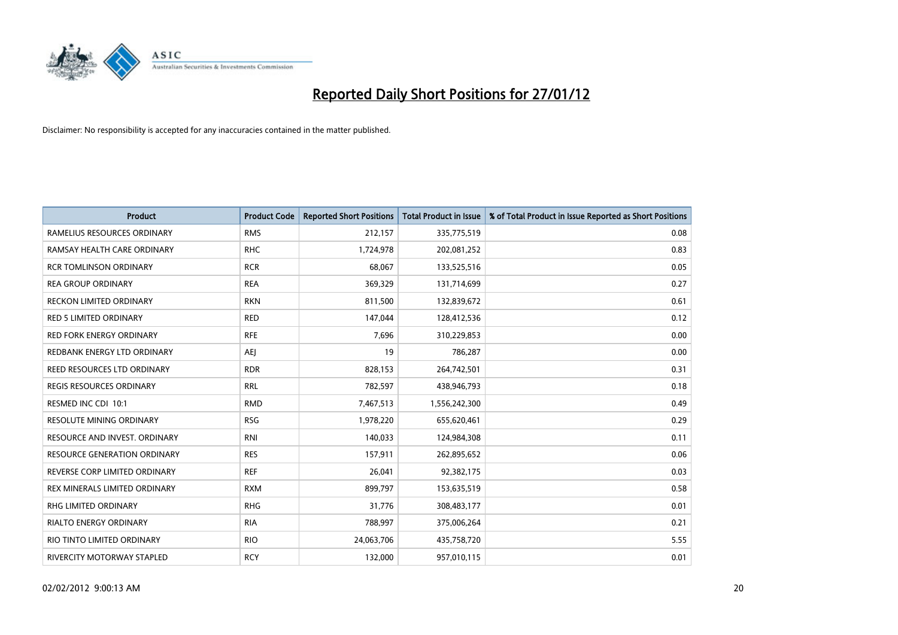

| <b>Product</b>                      | <b>Product Code</b> | <b>Reported Short Positions</b> | <b>Total Product in Issue</b> | % of Total Product in Issue Reported as Short Positions |
|-------------------------------------|---------------------|---------------------------------|-------------------------------|---------------------------------------------------------|
| RAMELIUS RESOURCES ORDINARY         | <b>RMS</b>          | 212,157                         | 335,775,519                   | 0.08                                                    |
| RAMSAY HEALTH CARE ORDINARY         | <b>RHC</b>          | 1,724,978                       | 202,081,252                   | 0.83                                                    |
| <b>RCR TOMLINSON ORDINARY</b>       | <b>RCR</b>          | 68,067                          | 133,525,516                   | 0.05                                                    |
| <b>REA GROUP ORDINARY</b>           | <b>REA</b>          | 369,329                         | 131,714,699                   | 0.27                                                    |
| <b>RECKON LIMITED ORDINARY</b>      | <b>RKN</b>          | 811,500                         | 132,839,672                   | 0.61                                                    |
| <b>RED 5 LIMITED ORDINARY</b>       | <b>RED</b>          | 147,044                         | 128,412,536                   | 0.12                                                    |
| <b>RED FORK ENERGY ORDINARY</b>     | <b>RFE</b>          | 7,696                           | 310,229,853                   | 0.00                                                    |
| REDBANK ENERGY LTD ORDINARY         | AEJ                 | 19                              | 786,287                       | 0.00                                                    |
| REED RESOURCES LTD ORDINARY         | <b>RDR</b>          | 828,153                         | 264,742,501                   | 0.31                                                    |
| <b>REGIS RESOURCES ORDINARY</b>     | <b>RRL</b>          | 782,597                         | 438,946,793                   | 0.18                                                    |
| RESMED INC CDI 10:1                 | <b>RMD</b>          | 7,467,513                       | 1,556,242,300                 | 0.49                                                    |
| <b>RESOLUTE MINING ORDINARY</b>     | <b>RSG</b>          | 1,978,220                       | 655,620,461                   | 0.29                                                    |
| RESOURCE AND INVEST. ORDINARY       | <b>RNI</b>          | 140,033                         | 124,984,308                   | 0.11                                                    |
| <b>RESOURCE GENERATION ORDINARY</b> | <b>RES</b>          | 157,911                         | 262,895,652                   | 0.06                                                    |
| REVERSE CORP LIMITED ORDINARY       | <b>REF</b>          | 26,041                          | 92,382,175                    | 0.03                                                    |
| REX MINERALS LIMITED ORDINARY       | <b>RXM</b>          | 899,797                         | 153,635,519                   | 0.58                                                    |
| RHG LIMITED ORDINARY                | <b>RHG</b>          | 31,776                          | 308,483,177                   | 0.01                                                    |
| <b>RIALTO ENERGY ORDINARY</b>       | <b>RIA</b>          | 788,997                         | 375,006,264                   | 0.21                                                    |
| RIO TINTO LIMITED ORDINARY          | <b>RIO</b>          | 24,063,706                      | 435,758,720                   | 5.55                                                    |
| RIVERCITY MOTORWAY STAPLED          | <b>RCY</b>          | 132,000                         | 957,010,115                   | 0.01                                                    |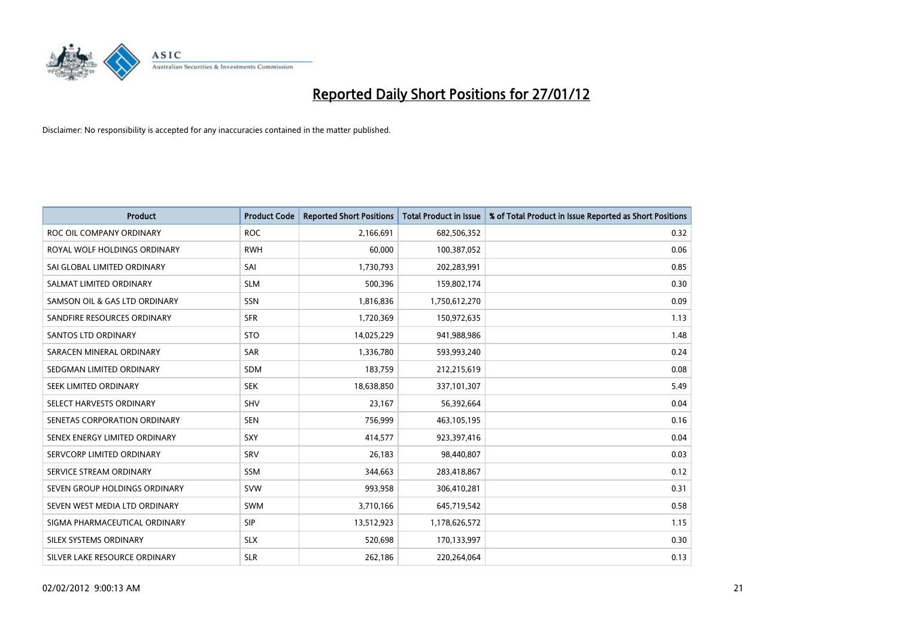

| <b>Product</b>                | <b>Product Code</b> | <b>Reported Short Positions</b> | <b>Total Product in Issue</b> | % of Total Product in Issue Reported as Short Positions |
|-------------------------------|---------------------|---------------------------------|-------------------------------|---------------------------------------------------------|
| ROC OIL COMPANY ORDINARY      | <b>ROC</b>          | 2,166,691                       | 682,506,352                   | 0.32                                                    |
| ROYAL WOLF HOLDINGS ORDINARY  | <b>RWH</b>          | 60,000                          | 100,387,052                   | 0.06                                                    |
| SAI GLOBAL LIMITED ORDINARY   | SAI                 | 1,730,793                       | 202,283,991                   | 0.85                                                    |
| SALMAT LIMITED ORDINARY       | <b>SLM</b>          | 500,396                         | 159,802,174                   | 0.30                                                    |
| SAMSON OIL & GAS LTD ORDINARY | SSN                 | 1,816,836                       | 1,750,612,270                 | 0.09                                                    |
| SANDFIRE RESOURCES ORDINARY   | <b>SFR</b>          | 1,720,369                       | 150,972,635                   | 1.13                                                    |
| <b>SANTOS LTD ORDINARY</b>    | <b>STO</b>          | 14,025,229                      | 941,988,986                   | 1.48                                                    |
| SARACEN MINERAL ORDINARY      | <b>SAR</b>          | 1,336,780                       | 593,993,240                   | 0.24                                                    |
| SEDGMAN LIMITED ORDINARY      | <b>SDM</b>          | 183,759                         | 212,215,619                   | 0.08                                                    |
| SEEK LIMITED ORDINARY         | <b>SEK</b>          | 18,638,850                      | 337,101,307                   | 5.49                                                    |
| SELECT HARVESTS ORDINARY      | SHV                 | 23,167                          | 56,392,664                    | 0.04                                                    |
| SENETAS CORPORATION ORDINARY  | <b>SEN</b>          | 756,999                         | 463,105,195                   | 0.16                                                    |
| SENEX ENERGY LIMITED ORDINARY | <b>SXY</b>          | 414,577                         | 923,397,416                   | 0.04                                                    |
| SERVCORP LIMITED ORDINARY     | SRV                 | 26,183                          | 98,440,807                    | 0.03                                                    |
| SERVICE STREAM ORDINARY       | <b>SSM</b>          | 344,663                         | 283,418,867                   | 0.12                                                    |
| SEVEN GROUP HOLDINGS ORDINARY | <b>SVW</b>          | 993,958                         | 306,410,281                   | 0.31                                                    |
| SEVEN WEST MEDIA LTD ORDINARY | <b>SWM</b>          | 3,710,166                       | 645,719,542                   | 0.58                                                    |
| SIGMA PHARMACEUTICAL ORDINARY | <b>SIP</b>          | 13,512,923                      | 1,178,626,572                 | 1.15                                                    |
| SILEX SYSTEMS ORDINARY        | <b>SLX</b>          | 520,698                         | 170,133,997                   | 0.30                                                    |
| SILVER LAKE RESOURCE ORDINARY | <b>SLR</b>          | 262,186                         | 220,264,064                   | 0.13                                                    |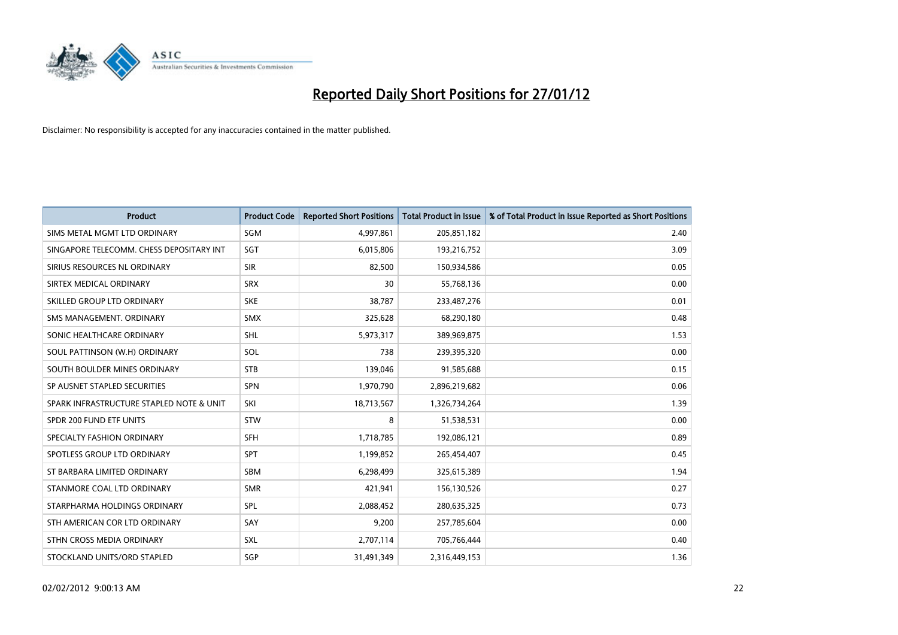

| <b>Product</b>                           | <b>Product Code</b> | <b>Reported Short Positions</b> | <b>Total Product in Issue</b> | % of Total Product in Issue Reported as Short Positions |
|------------------------------------------|---------------------|---------------------------------|-------------------------------|---------------------------------------------------------|
| SIMS METAL MGMT LTD ORDINARY             | SGM                 | 4,997,861                       | 205,851,182                   | 2.40                                                    |
| SINGAPORE TELECOMM. CHESS DEPOSITARY INT | SGT                 | 6,015,806                       | 193,216,752                   | 3.09                                                    |
| SIRIUS RESOURCES NL ORDINARY             | <b>SIR</b>          | 82,500                          | 150,934,586                   | 0.05                                                    |
| SIRTEX MEDICAL ORDINARY                  | <b>SRX</b>          | 30                              | 55,768,136                    | 0.00                                                    |
| SKILLED GROUP LTD ORDINARY               | <b>SKE</b>          | 38,787                          | 233,487,276                   | 0.01                                                    |
| SMS MANAGEMENT, ORDINARY                 | <b>SMX</b>          | 325,628                         | 68,290,180                    | 0.48                                                    |
| SONIC HEALTHCARE ORDINARY                | <b>SHL</b>          | 5,973,317                       | 389,969,875                   | 1.53                                                    |
| SOUL PATTINSON (W.H) ORDINARY            | SOL                 | 738                             | 239,395,320                   | 0.00                                                    |
| SOUTH BOULDER MINES ORDINARY             | <b>STB</b>          | 139,046                         | 91,585,688                    | 0.15                                                    |
| SP AUSNET STAPLED SECURITIES             | SPN                 | 1,970,790                       | 2,896,219,682                 | 0.06                                                    |
| SPARK INFRASTRUCTURE STAPLED NOTE & UNIT | SKI                 | 18,713,567                      | 1,326,734,264                 | 1.39                                                    |
| SPDR 200 FUND ETF UNITS                  | <b>STW</b>          | 8                               | 51,538,531                    | 0.00                                                    |
| SPECIALTY FASHION ORDINARY               | <b>SFH</b>          | 1,718,785                       | 192,086,121                   | 0.89                                                    |
| SPOTLESS GROUP LTD ORDINARY              | <b>SPT</b>          | 1,199,852                       | 265,454,407                   | 0.45                                                    |
| ST BARBARA LIMITED ORDINARY              | <b>SBM</b>          | 6,298,499                       | 325,615,389                   | 1.94                                                    |
| STANMORE COAL LTD ORDINARY               | <b>SMR</b>          | 421,941                         | 156,130,526                   | 0.27                                                    |
| STARPHARMA HOLDINGS ORDINARY             | SPL                 | 2,088,452                       | 280,635,325                   | 0.73                                                    |
| STH AMERICAN COR LTD ORDINARY            | SAY                 | 9,200                           | 257,785,604                   | 0.00                                                    |
| STHN CROSS MEDIA ORDINARY                | <b>SXL</b>          | 2,707,114                       | 705,766,444                   | 0.40                                                    |
| STOCKLAND UNITS/ORD STAPLED              | SGP                 | 31,491,349                      | 2,316,449,153                 | 1.36                                                    |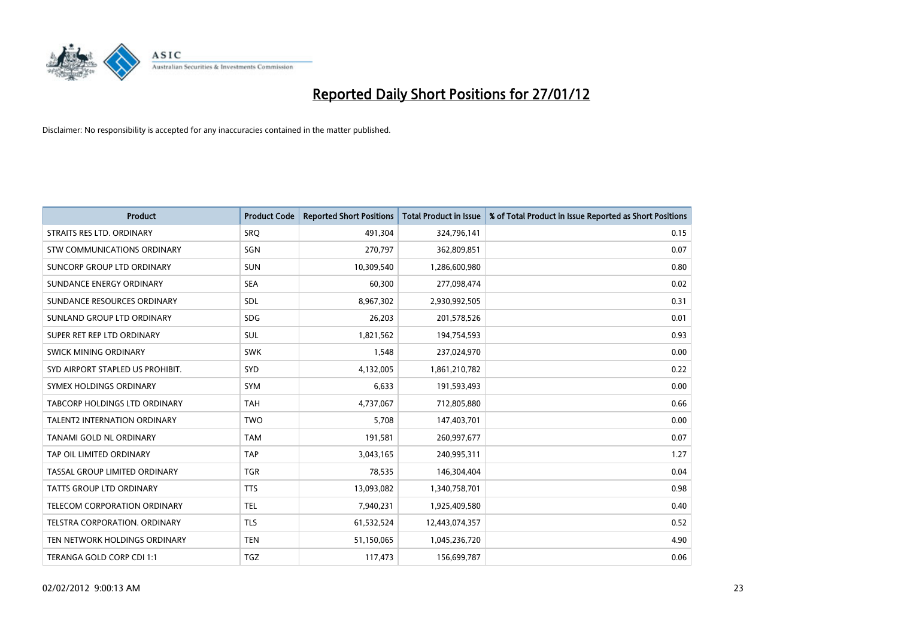

| <b>Product</b>                      | <b>Product Code</b> | <b>Reported Short Positions</b> | <b>Total Product in Issue</b> | % of Total Product in Issue Reported as Short Positions |
|-------------------------------------|---------------------|---------------------------------|-------------------------------|---------------------------------------------------------|
| STRAITS RES LTD. ORDINARY           | <b>SRO</b>          | 491,304                         | 324,796,141                   | 0.15                                                    |
| STW COMMUNICATIONS ORDINARY         | SGN                 | 270,797                         | 362,809,851                   | 0.07                                                    |
| SUNCORP GROUP LTD ORDINARY          | <b>SUN</b>          | 10,309,540                      | 1,286,600,980                 | 0.80                                                    |
| SUNDANCE ENERGY ORDINARY            | <b>SEA</b>          | 60,300                          | 277,098,474                   | 0.02                                                    |
| SUNDANCE RESOURCES ORDINARY         | SDL                 | 8,967,302                       | 2,930,992,505                 | 0.31                                                    |
| SUNLAND GROUP LTD ORDINARY          | <b>SDG</b>          | 26,203                          | 201,578,526                   | 0.01                                                    |
| SUPER RET REP LTD ORDINARY          | SUL                 | 1,821,562                       | 194,754,593                   | 0.93                                                    |
| SWICK MINING ORDINARY               | <b>SWK</b>          | 1,548                           | 237,024,970                   | 0.00                                                    |
| SYD AIRPORT STAPLED US PROHIBIT.    | <b>SYD</b>          | 4,132,005                       | 1,861,210,782                 | 0.22                                                    |
| SYMEX HOLDINGS ORDINARY             | SYM                 | 6,633                           | 191,593,493                   | 0.00                                                    |
| TABCORP HOLDINGS LTD ORDINARY       | <b>TAH</b>          | 4,737,067                       | 712,805,880                   | 0.66                                                    |
| <b>TALENT2 INTERNATION ORDINARY</b> | <b>TWO</b>          | 5,708                           | 147,403,701                   | 0.00                                                    |
| TANAMI GOLD NL ORDINARY             | <b>TAM</b>          | 191,581                         | 260,997,677                   | 0.07                                                    |
| TAP OIL LIMITED ORDINARY            | <b>TAP</b>          | 3,043,165                       | 240,995,311                   | 1.27                                                    |
| TASSAL GROUP LIMITED ORDINARY       | <b>TGR</b>          | 78,535                          | 146,304,404                   | 0.04                                                    |
| <b>TATTS GROUP LTD ORDINARY</b>     | <b>TTS</b>          | 13,093,082                      | 1,340,758,701                 | 0.98                                                    |
| TELECOM CORPORATION ORDINARY        | <b>TEL</b>          | 7,940,231                       | 1,925,409,580                 | 0.40                                                    |
| TELSTRA CORPORATION, ORDINARY       | <b>TLS</b>          | 61,532,524                      | 12,443,074,357                | 0.52                                                    |
| TEN NETWORK HOLDINGS ORDINARY       | <b>TEN</b>          | 51,150,065                      | 1,045,236,720                 | 4.90                                                    |
| TERANGA GOLD CORP CDI 1:1           | <b>TGZ</b>          | 117,473                         | 156,699,787                   | 0.06                                                    |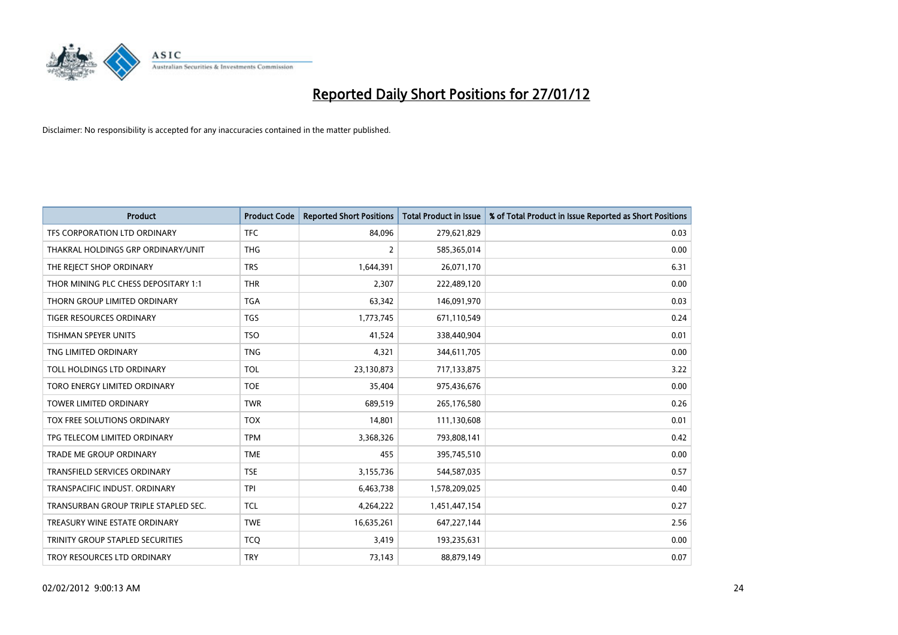

| <b>Product</b>                       | <b>Product Code</b> | <b>Reported Short Positions</b> | <b>Total Product in Issue</b> | % of Total Product in Issue Reported as Short Positions |
|--------------------------------------|---------------------|---------------------------------|-------------------------------|---------------------------------------------------------|
| TFS CORPORATION LTD ORDINARY         | <b>TFC</b>          | 84,096                          | 279,621,829                   | 0.03                                                    |
| THAKRAL HOLDINGS GRP ORDINARY/UNIT   | <b>THG</b>          | $\overline{2}$                  | 585,365,014                   | 0.00                                                    |
| THE REJECT SHOP ORDINARY             | <b>TRS</b>          | 1,644,391                       | 26,071,170                    | 6.31                                                    |
| THOR MINING PLC CHESS DEPOSITARY 1:1 | <b>THR</b>          | 2,307                           | 222,489,120                   | 0.00                                                    |
| THORN GROUP LIMITED ORDINARY         | <b>TGA</b>          | 63,342                          | 146,091,970                   | 0.03                                                    |
| <b>TIGER RESOURCES ORDINARY</b>      | <b>TGS</b>          | 1,773,745                       | 671,110,549                   | 0.24                                                    |
| TISHMAN SPEYER UNITS                 | <b>TSO</b>          | 41,524                          | 338,440,904                   | 0.01                                                    |
| TNG LIMITED ORDINARY                 | <b>TNG</b>          | 4,321                           | 344,611,705                   | 0.00                                                    |
| TOLL HOLDINGS LTD ORDINARY           | <b>TOL</b>          | 23,130,873                      | 717,133,875                   | 3.22                                                    |
| TORO ENERGY LIMITED ORDINARY         | <b>TOE</b>          | 35,404                          | 975,436,676                   | 0.00                                                    |
| <b>TOWER LIMITED ORDINARY</b>        | <b>TWR</b>          | 689,519                         | 265,176,580                   | 0.26                                                    |
| TOX FREE SOLUTIONS ORDINARY          | <b>TOX</b>          | 14,801                          | 111,130,608                   | 0.01                                                    |
| TPG TELECOM LIMITED ORDINARY         | <b>TPM</b>          | 3,368,326                       | 793,808,141                   | 0.42                                                    |
| <b>TRADE ME GROUP ORDINARY</b>       | <b>TME</b>          | 455                             | 395,745,510                   | 0.00                                                    |
| <b>TRANSFIELD SERVICES ORDINARY</b>  | <b>TSE</b>          | 3,155,736                       | 544,587,035                   | 0.57                                                    |
| TRANSPACIFIC INDUST, ORDINARY        | <b>TPI</b>          | 6,463,738                       | 1,578,209,025                 | 0.40                                                    |
| TRANSURBAN GROUP TRIPLE STAPLED SEC. | <b>TCL</b>          | 4,264,222                       | 1,451,447,154                 | 0.27                                                    |
| TREASURY WINE ESTATE ORDINARY        | <b>TWE</b>          | 16,635,261                      | 647,227,144                   | 2.56                                                    |
| TRINITY GROUP STAPLED SECURITIES     | <b>TCO</b>          | 3,419                           | 193,235,631                   | 0.00                                                    |
| TROY RESOURCES LTD ORDINARY          | <b>TRY</b>          | 73,143                          | 88,879,149                    | 0.07                                                    |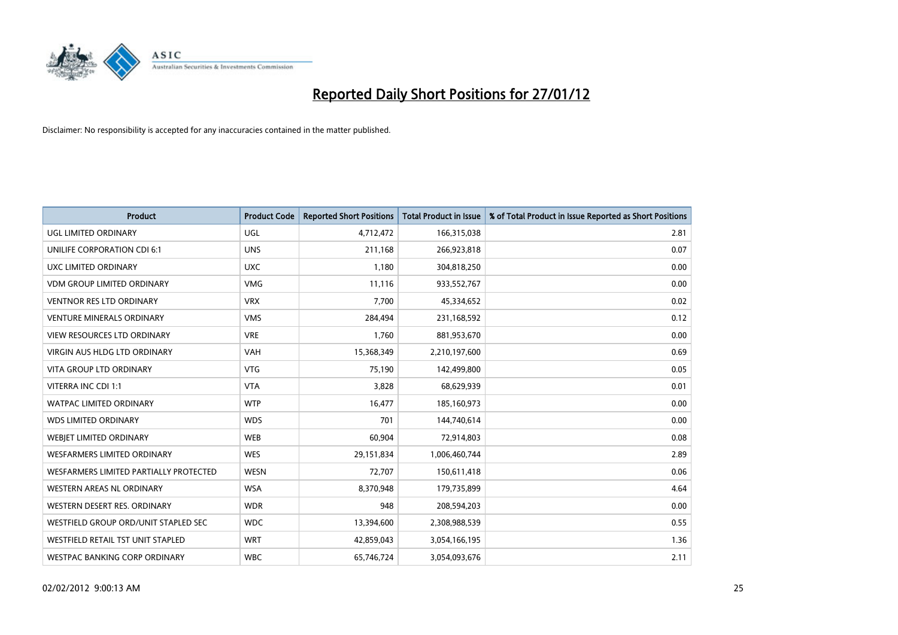

| <b>Product</b>                         | <b>Product Code</b> | <b>Reported Short Positions</b> | <b>Total Product in Issue</b> | % of Total Product in Issue Reported as Short Positions |
|----------------------------------------|---------------------|---------------------------------|-------------------------------|---------------------------------------------------------|
| <b>UGL LIMITED ORDINARY</b>            | UGL                 | 4,712,472                       | 166,315,038                   | 2.81                                                    |
| UNILIFE CORPORATION CDI 6:1            | <b>UNS</b>          | 211,168                         | 266,923,818                   | 0.07                                                    |
| UXC LIMITED ORDINARY                   | <b>UXC</b>          | 1,180                           | 304,818,250                   | 0.00                                                    |
| <b>VDM GROUP LIMITED ORDINARY</b>      | <b>VMG</b>          | 11,116                          | 933,552,767                   | 0.00                                                    |
| <b>VENTNOR RES LTD ORDINARY</b>        | <b>VRX</b>          | 7,700                           | 45,334,652                    | 0.02                                                    |
| <b>VENTURE MINERALS ORDINARY</b>       | <b>VMS</b>          | 284,494                         | 231,168,592                   | 0.12                                                    |
| <b>VIEW RESOURCES LTD ORDINARY</b>     | <b>VRE</b>          | 1,760                           | 881,953,670                   | 0.00                                                    |
| VIRGIN AUS HLDG LTD ORDINARY           | <b>VAH</b>          | 15,368,349                      | 2,210,197,600                 | 0.69                                                    |
| <b>VITA GROUP LTD ORDINARY</b>         | <b>VTG</b>          | 75,190                          | 142,499,800                   | 0.05                                                    |
| VITERRA INC CDI 1:1                    | <b>VTA</b>          | 3,828                           | 68,629,939                    | 0.01                                                    |
| WATPAC LIMITED ORDINARY                | <b>WTP</b>          | 16,477                          | 185,160,973                   | 0.00                                                    |
| <b>WDS LIMITED ORDINARY</b>            | <b>WDS</b>          | 701                             | 144,740,614                   | 0.00                                                    |
| WEBIET LIMITED ORDINARY                | <b>WEB</b>          | 60,904                          | 72,914,803                    | 0.08                                                    |
| <b>WESFARMERS LIMITED ORDINARY</b>     | <b>WES</b>          | 29,151,834                      | 1,006,460,744                 | 2.89                                                    |
| WESFARMERS LIMITED PARTIALLY PROTECTED | <b>WESN</b>         | 72,707                          | 150,611,418                   | 0.06                                                    |
| WESTERN AREAS NL ORDINARY              | <b>WSA</b>          | 8,370,948                       | 179,735,899                   | 4.64                                                    |
| WESTERN DESERT RES. ORDINARY           | <b>WDR</b>          | 948                             | 208,594,203                   | 0.00                                                    |
| WESTFIELD GROUP ORD/UNIT STAPLED SEC   | <b>WDC</b>          | 13,394,600                      | 2,308,988,539                 | 0.55                                                    |
| WESTFIELD RETAIL TST UNIT STAPLED      | <b>WRT</b>          | 42,859,043                      | 3,054,166,195                 | 1.36                                                    |
| WESTPAC BANKING CORP ORDINARY          | <b>WBC</b>          | 65,746,724                      | 3,054,093,676                 | 2.11                                                    |